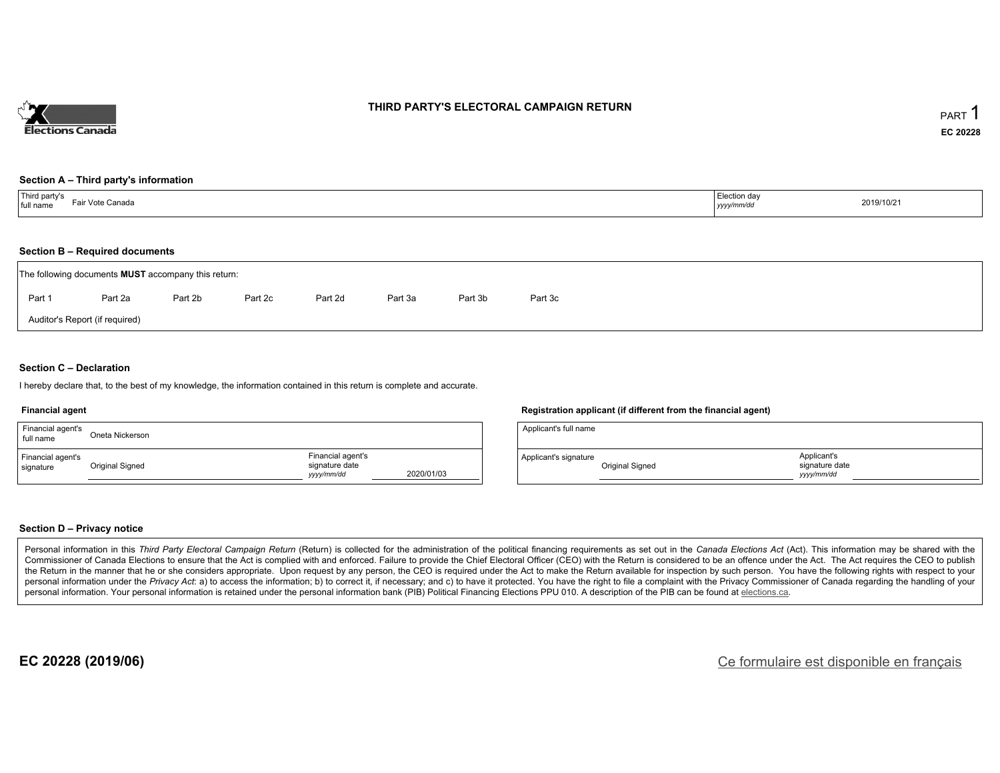

#### **THIRD PARTY'S ELECTORAL CAMPAIGN RETURN**

#### **Section A – Third party's information**

#### **Section B – Required documents**

|        | The following documents <b>MUST</b> accompany this return: |         |         |         |         |         |         |
|--------|------------------------------------------------------------|---------|---------|---------|---------|---------|---------|
| Part 1 | Part 2a                                                    | Part 2b | Part 2c | Part 2d | Part 3a | Part 3b | Part 3c |
|        | Auditor's Report (if required)                             |         |         |         |         |         |         |

#### **Section C – Declaration**

I hereby declare that, to the best of my knowledge, the information contained in this return is complete and accurate.

#### **Financial agent**

| Financial agent's<br>full name | Oneta Nickerson |                                                  |            |
|--------------------------------|-----------------|--------------------------------------------------|------------|
| Financial agent's<br>signature | Original Signed | Financial agent's<br>signature date<br>vyy/mm/dd | 2020/01/03 |

#### **Registration applicant (if different from the financial agent)**

| Applicant's full name |                 |                                            |  |
|-----------------------|-----------------|--------------------------------------------|--|
| Applicant's signature | Original Signed | Applicant's<br>signature date<br>vyy/mm/dd |  |

#### **Section D – Privacy notice**

Personal information in this Third Party Electoral Campaign Return (Return) is collected for the administration of the political financing requirements as set out in the Canada Elections Act (Act). This information may be Commissioner of Canada Elections to ensure that the Act is complied with and enforced. Failure to provide the Chief Electoral Officer (CEO) with the Return is considered to be an offence under the Act. The Act requires the the Return in the manner that he or she considers appropriate. Upon request by any person, the CEO is required under the Act to make the Return available for inspection by such person. You have the following rights with re personal information under the Privacy Act: a) to access the information; b) to correct it, if necessary; and c) to have it protected. You have the right to file a complaint with the Privacy Commissioner of Canada regardin personal information. Your personal information is retained under the personal information bank (PIB) Political Financing Elections PPU 010. A description of the PIB can be found at elections.ca.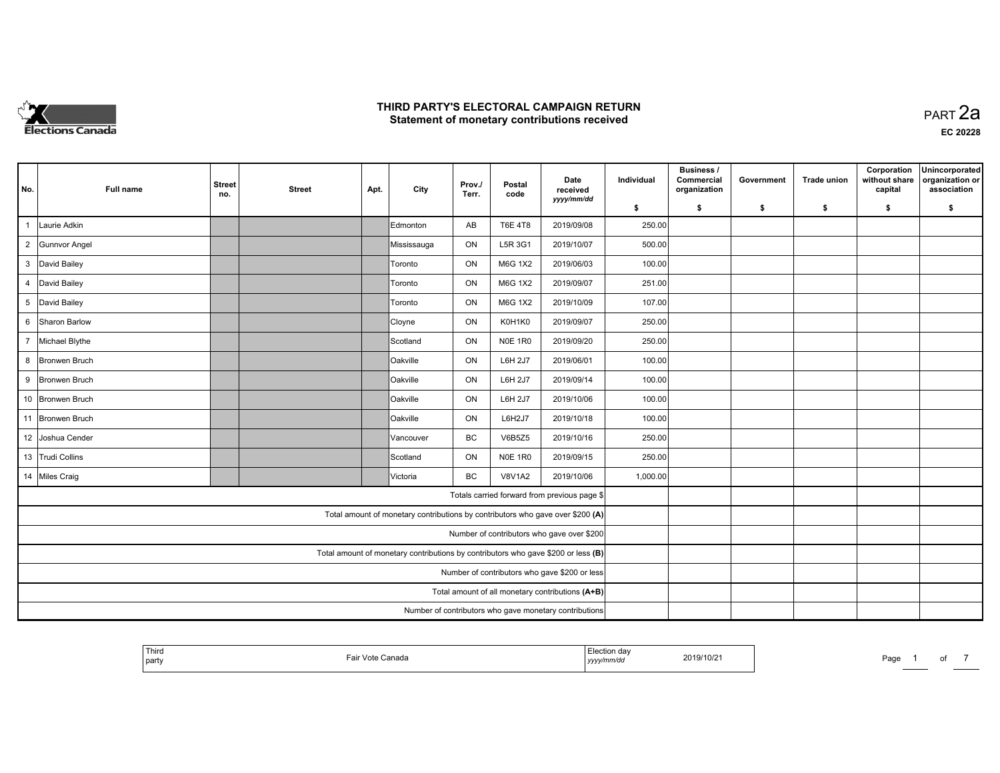

**EC 20228**

| No.            | Full name            | <b>Street</b><br>no. | <b>Street</b> | Apt. | City            | Prov./<br>Terr. | Postal<br>code | Date<br>received<br>yyyy/mm/dd                                                    | Individual | <b>Business /</b><br>Commercial<br>organization | Government | <b>Trade union</b> | Corporation<br>without share<br>capital | Unincorporated<br>organization or<br>association |
|----------------|----------------------|----------------------|---------------|------|-----------------|-----------------|----------------|-----------------------------------------------------------------------------------|------------|-------------------------------------------------|------------|--------------------|-----------------------------------------|--------------------------------------------------|
|                |                      |                      |               |      |                 |                 |                |                                                                                   | \$         | s.                                              | -\$        | -\$                | \$                                      | \$                                               |
| $\overline{1}$ | Laurie Adkin         |                      |               |      | Edmonton        | AB              | <b>T6E 4T8</b> | 2019/09/08                                                                        | 250.00     |                                                 |            |                    |                                         |                                                  |
| $\overline{2}$ | <b>Gunnvor Angel</b> |                      |               |      | Mississauga     | ON              | L5R 3G1        | 2019/10/07                                                                        | 500.00     |                                                 |            |                    |                                         |                                                  |
| $\mathbf{3}$   | David Bailey         |                      |               |      | Toronto         | ON              | M6G 1X2        | 2019/06/03                                                                        | 100.00     |                                                 |            |                    |                                         |                                                  |
| 4              | David Bailey         |                      |               |      | Toronto         | ON              | M6G 1X2        | 2019/09/07                                                                        | 251.00     |                                                 |            |                    |                                         |                                                  |
| 5 <sup>5</sup> | David Bailey         |                      |               |      | Toronto         | ON              | M6G 1X2        | 2019/10/09                                                                        | 107.00     |                                                 |            |                    |                                         |                                                  |
| 6              | Sharon Barlow        |                      |               |      | Cloyne          | ON              | K0H1K0         | 2019/09/07                                                                        | 250.00     |                                                 |            |                    |                                         |                                                  |
| $7^{\circ}$    | Michael Blythe       |                      |               |      | Scotland        | ON              | <b>N0E 1R0</b> | 2019/09/20                                                                        | 250.00     |                                                 |            |                    |                                         |                                                  |
|                | 8 Bronwen Bruch      |                      |               |      | Oakville        | ON              | L6H 2J7        | 2019/06/01                                                                        | 100.00     |                                                 |            |                    |                                         |                                                  |
|                | 9 Bronwen Bruch      |                      |               |      | Oakville        | ON              | L6H 2J7        | 2019/09/14                                                                        | 100.00     |                                                 |            |                    |                                         |                                                  |
|                | 10 Bronwen Bruch     |                      |               |      | <b>Oakville</b> | ON              | <b>L6H 2J7</b> | 2019/10/06                                                                        | 100.00     |                                                 |            |                    |                                         |                                                  |
|                | 11 Bronwen Bruch     |                      |               |      | Oakville        | ON              | L6H2J7         | 2019/10/18                                                                        | 100.00     |                                                 |            |                    |                                         |                                                  |
|                | 12 Joshua Cender     |                      |               |      | Vancouver       | BC              | <b>V6B5Z5</b>  | 2019/10/16                                                                        | 250.00     |                                                 |            |                    |                                         |                                                  |
|                | 13 Trudi Collins     |                      |               |      | Scotland        | ON              | <b>N0E 1R0</b> | 2019/09/15                                                                        | 250.00     |                                                 |            |                    |                                         |                                                  |
|                | 14 Miles Craig       |                      |               |      | Victoria        | BC              | <b>V8V1A2</b>  | 2019/10/06                                                                        | 1,000.00   |                                                 |            |                    |                                         |                                                  |
|                |                      |                      |               |      |                 |                 |                | Totals carried forward from previous page \$                                      |            |                                                 |            |                    |                                         |                                                  |
|                |                      |                      |               |      |                 |                 |                | Total amount of monetary contributions by contributors who gave over \$200 (A)    |            |                                                 |            |                    |                                         |                                                  |
|                |                      |                      |               |      |                 |                 |                | Number of contributors who gave over \$200                                        |            |                                                 |            |                    |                                         |                                                  |
|                |                      |                      |               |      |                 |                 |                | Total amount of monetary contributions by contributors who gave \$200 or less (B) |            |                                                 |            |                    |                                         |                                                  |
|                |                      |                      |               |      |                 |                 |                | Number of contributors who gave \$200 or less                                     |            |                                                 |            |                    |                                         |                                                  |
|                |                      |                      |               |      |                 |                 |                | Total amount of all monetary contributions (A+B)                                  |            |                                                 |            |                    |                                         |                                                  |
|                |                      |                      |               |      |                 |                 |                | Number of contributors who gave monetary contributions                            |            |                                                 |            |                    |                                         |                                                  |

| $+T_{\rm max}$<br>ection dav<br>i nira<br>2019/10/2<br>Canada<br>-all<br>vuu.<br>' nart<br>mm/du<br>, , , , , , , , , |
|-----------------------------------------------------------------------------------------------------------------------|
|-----------------------------------------------------------------------------------------------------------------------|

Page 1 of 7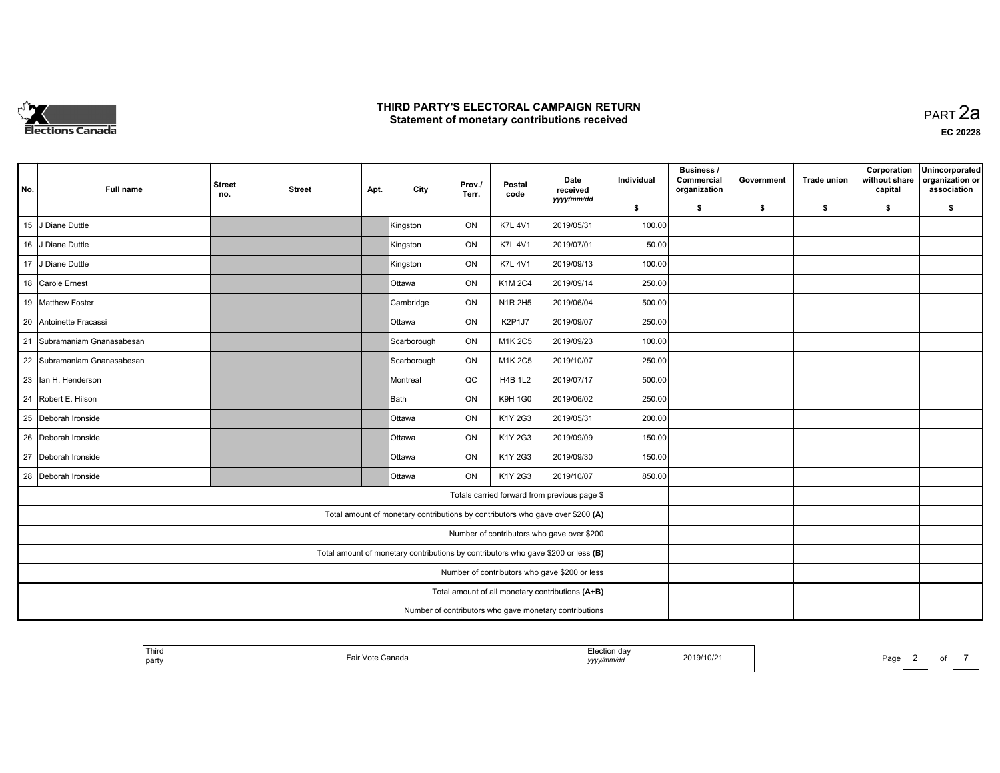

**EC 20228**

| No. | Full name                | <b>Street</b><br>no. | <b>Street</b> | Apt. | City          | Prov./<br>Terr. | Postal<br>code | Date<br>received<br>yyyy/mm/dd                                                    | Individual | <b>Business /</b><br>Commercial<br>organization | Government | <b>Trade union</b> | Corporation<br>without share<br>capital | Unincorporated<br>organization or<br>association |
|-----|--------------------------|----------------------|---------------|------|---------------|-----------------|----------------|-----------------------------------------------------------------------------------|------------|-------------------------------------------------|------------|--------------------|-----------------------------------------|--------------------------------------------------|
|     |                          |                      |               |      |               |                 |                |                                                                                   | \$         | s.                                              | -\$        | -\$                | \$                                      | \$                                               |
| 15  | J Diane Duttle           |                      |               |      | Kingston      | ON              | <b>K7L 4V1</b> | 2019/05/31                                                                        | 100.00     |                                                 |            |                    |                                         |                                                  |
|     | 16 J Diane Duttle        |                      |               |      | Kingston      | ON              | <b>K7L 4V1</b> | 2019/07/01                                                                        | 50.00      |                                                 |            |                    |                                         |                                                  |
| 17  | J Diane Duttle           |                      |               |      | Kingston      | ON              | <b>K7L 4V1</b> | 2019/09/13                                                                        | 100.00     |                                                 |            |                    |                                         |                                                  |
|     | 18 Carole Ernest         |                      |               |      | <b>Ottawa</b> | ON              | K1M 2C4        | 2019/09/14                                                                        | 250.00     |                                                 |            |                    |                                         |                                                  |
|     | 19 Matthew Foster        |                      |               |      | Cambridge     | ON              | N1R 2H5        | 2019/06/04                                                                        | 500.00     |                                                 |            |                    |                                         |                                                  |
| 20  | Antoinette Fracassi      |                      |               |      | <b>Ottawa</b> | ON              | K2P1J7         | 2019/09/07                                                                        | 250.00     |                                                 |            |                    |                                         |                                                  |
| 21  | Subramaniam Gnanasabesan |                      |               |      | Scarborough   | ON              | M1K 2C5        | 2019/09/23                                                                        | 100.00     |                                                 |            |                    |                                         |                                                  |
| 22  | Subramaniam Gnanasabesan |                      |               |      | Scarborough   | ON              | M1K 2C5        | 2019/10/07                                                                        | 250.00     |                                                 |            |                    |                                         |                                                  |
| 23  | lan H. Henderson         |                      |               |      | Montreal      | QC              | <b>H4B 1L2</b> | 2019/07/17                                                                        | 500.00     |                                                 |            |                    |                                         |                                                  |
| 24  | Robert E. Hilson         |                      |               |      | Bath          | ON              | <b>K9H 1G0</b> | 2019/06/02                                                                        | 250.00     |                                                 |            |                    |                                         |                                                  |
| 25  | Deborah Ironside         |                      |               |      | <b>Ottawa</b> | ON              | K1Y 2G3        | 2019/05/31                                                                        | 200.00     |                                                 |            |                    |                                         |                                                  |
| 26  | Deborah Ironside         |                      |               |      | <b>Ottawa</b> | ON              | K1Y 2G3        | 2019/09/09                                                                        | 150.00     |                                                 |            |                    |                                         |                                                  |
|     | 27 Deborah Ironside      |                      |               |      | <b>Ottawa</b> | ON              | K1Y 2G3        | 2019/09/30                                                                        | 150.00     |                                                 |            |                    |                                         |                                                  |
| 28  | Deborah Ironside         |                      |               |      | <b>Ottawa</b> | <b>ON</b>       | K1Y 2G3        | 2019/10/07                                                                        | 850.00     |                                                 |            |                    |                                         |                                                  |
|     |                          |                      |               |      |               |                 |                | Totals carried forward from previous page \$                                      |            |                                                 |            |                    |                                         |                                                  |
|     |                          |                      |               |      |               |                 |                | Total amount of monetary contributions by contributors who gave over \$200 (A)    |            |                                                 |            |                    |                                         |                                                  |
|     |                          |                      |               |      |               |                 |                | Number of contributors who gave over \$200                                        |            |                                                 |            |                    |                                         |                                                  |
|     |                          |                      |               |      |               |                 |                | Total amount of monetary contributions by contributors who gave \$200 or less (B) |            |                                                 |            |                    |                                         |                                                  |
|     |                          |                      |               |      |               |                 |                | Number of contributors who gave \$200 or less                                     |            |                                                 |            |                    |                                         |                                                  |
|     |                          |                      |               |      |               |                 |                | Total amount of all monetary contributions (A+B)                                  |            |                                                 |            |                    |                                         |                                                  |
|     |                          |                      |               |      |               |                 |                | Number of contributors who gave monetary contributions                            |            |                                                 |            |                    |                                         |                                                  |

| <sup>l</sup> Third<br>party | Canada<br>. | Election dav<br>2019/10/21<br>yyyy/mm/dd |
|-----------------------------|-------------|------------------------------------------|
|                             |             |                                          |

Page 2 of 7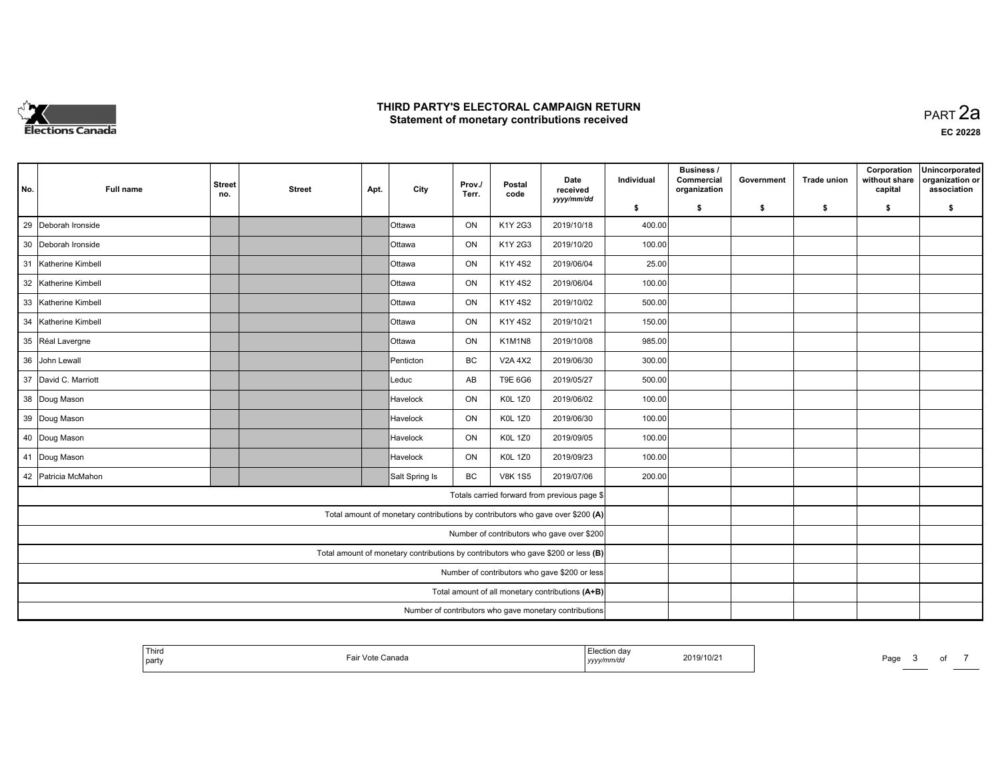

**EC 20228**

| No. | Full name            | <b>Street</b><br>no. | <b>Street</b> | Apt. | City                                                                              | Prov./<br>Terr. | Postal<br>code | Date<br>received<br>yyyy/mm/dd                         | Individual | <b>Business /</b><br>Commercial<br>organization | Government | <b>Trade union</b> | Corporation<br>without share<br>capital | Unincorporated<br>organization or<br>association |
|-----|----------------------|----------------------|---------------|------|-----------------------------------------------------------------------------------|-----------------|----------------|--------------------------------------------------------|------------|-------------------------------------------------|------------|--------------------|-----------------------------------------|--------------------------------------------------|
|     |                      |                      |               |      |                                                                                   |                 |                |                                                        | \$         | s.                                              | -\$        | -\$                | \$                                      | \$                                               |
| 29  | Deborah Ironside     |                      |               |      | <b>Ottawa</b>                                                                     | ON              | K1Y 2G3        | 2019/10/18                                             | 400.00     |                                                 |            |                    |                                         |                                                  |
|     | 30 Deborah Ironside  |                      |               |      | lOttawa                                                                           | ON              | K1Y 2G3        | 2019/10/20                                             | 100.00     |                                                 |            |                    |                                         |                                                  |
|     | 31 Katherine Kimbell |                      |               |      | <b>Ottawa</b>                                                                     | ON              | K1Y 4S2        | 2019/06/04                                             | 25.00      |                                                 |            |                    |                                         |                                                  |
|     | 32 Katherine Kimbell |                      |               |      | <b>Ottawa</b>                                                                     | ON              | K1Y 4S2        | 2019/06/04                                             | 100.00     |                                                 |            |                    |                                         |                                                  |
|     | 33 Katherine Kimbell |                      |               |      | <b>Ottawa</b>                                                                     | ON              | K1Y 4S2        | 2019/10/02                                             | 500.00     |                                                 |            |                    |                                         |                                                  |
| 34  | Katherine Kimbell    |                      |               |      | <b>Ottawa</b>                                                                     | ON              | K1Y 4S2        | 2019/10/21                                             | 150.00     |                                                 |            |                    |                                         |                                                  |
|     | 35 Réal Lavergne     |                      |               |      | <b>Ottawa</b>                                                                     | ON              | K1M1N8         | 2019/10/08                                             | 985.00     |                                                 |            |                    |                                         |                                                  |
|     | 36 John Lewall       |                      |               |      | Penticton                                                                         | BC              | <b>V2A 4X2</b> | 2019/06/30                                             | 300.00     |                                                 |            |                    |                                         |                                                  |
|     | 37 David C. Marriott |                      |               |      | Leduc                                                                             | AB              | T9E 6G6        | 2019/05/27                                             | 500.00     |                                                 |            |                    |                                         |                                                  |
|     | 38 Doug Mason        |                      |               |      | Havelock                                                                          | ON              | <b>K0L 1Z0</b> | 2019/06/02                                             | 100.00     |                                                 |            |                    |                                         |                                                  |
|     | 39 Doug Mason        |                      |               |      | Havelock                                                                          | ON              | <b>K0L 1Z0</b> | 2019/06/30                                             | 100.00     |                                                 |            |                    |                                         |                                                  |
|     | 40 Doug Mason        |                      |               |      | Havelock                                                                          | ON              | <b>K0L 1Z0</b> | 2019/09/05                                             | 100.00     |                                                 |            |                    |                                         |                                                  |
|     | 41 Doug Mason        |                      |               |      | Havelock                                                                          | ON              | <b>K0L 1Z0</b> | 2019/09/23                                             | 100.00     |                                                 |            |                    |                                         |                                                  |
|     | 42 Patricia McMahon  |                      |               |      | Salt Spring Is                                                                    | BC              | <b>V8K 1S5</b> | 2019/07/06                                             | 200.00     |                                                 |            |                    |                                         |                                                  |
|     |                      |                      |               |      |                                                                                   |                 |                | Totals carried forward from previous page \$           |            |                                                 |            |                    |                                         |                                                  |
|     |                      |                      |               |      | Total amount of monetary contributions by contributors who gave over \$200 (A)    |                 |                |                                                        |            |                                                 |            |                    |                                         |                                                  |
|     |                      |                      |               |      |                                                                                   |                 |                | Number of contributors who gave over \$200             |            |                                                 |            |                    |                                         |                                                  |
|     |                      |                      |               |      | Total amount of monetary contributions by contributors who gave \$200 or less (B) |                 |                |                                                        |            |                                                 |            |                    |                                         |                                                  |
|     |                      |                      |               |      |                                                                                   |                 |                | Number of contributors who gave \$200 or less          |            |                                                 |            |                    |                                         |                                                  |
|     |                      |                      |               |      |                                                                                   |                 |                | Total amount of all monetary contributions (A+B)       |            |                                                 |            |                    |                                         |                                                  |
|     |                      |                      |               |      |                                                                                   |                 |                | Number of contributors who gave monetary contributions |            |                                                 |            |                    |                                         |                                                  |

| party<br>, yyyy/mm/dc |
|-----------------------|
|-----------------------|

Page 3 of 7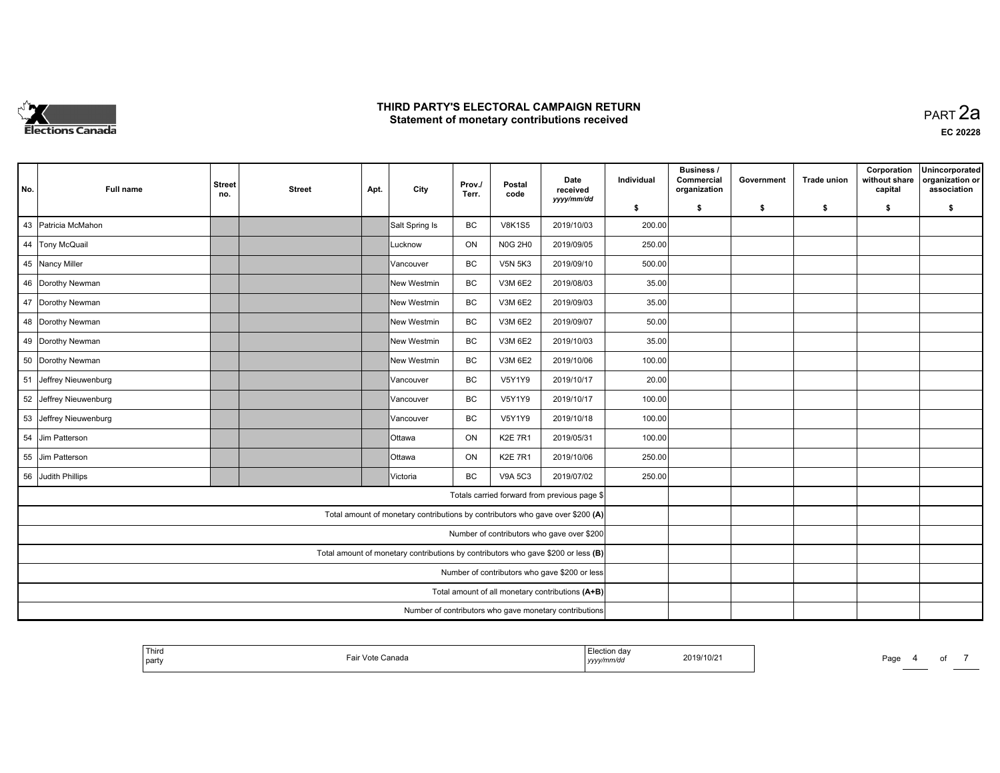

**EC 20228**

| No. | <b>Full name</b>       | <b>Street</b><br>no. | <b>Street</b> | Apt. | City                                                                              | Prov./<br>Terr. | Postal<br>code | Date<br>received<br>yyyy/mm/dd                         | Individual | <b>Business /</b><br>Commercial<br>organization | Government | <b>Trade union</b> | Corporation<br>without share<br>capital | Unincorporated<br>organization or<br>association |
|-----|------------------------|----------------------|---------------|------|-----------------------------------------------------------------------------------|-----------------|----------------|--------------------------------------------------------|------------|-------------------------------------------------|------------|--------------------|-----------------------------------------|--------------------------------------------------|
|     |                        |                      |               |      |                                                                                   |                 |                |                                                        | \$         | s.                                              | -\$        | -\$                | \$                                      | \$                                               |
|     | 43 Patricia McMahon    |                      |               |      | Salt Spring Is                                                                    | BC              | <b>V8K1S5</b>  | 2019/10/03                                             | 200.00     |                                                 |            |                    |                                         |                                                  |
|     | 44 Tony McQuail        |                      |               |      | Lucknow                                                                           | ON              | <b>N0G 2H0</b> | 2019/09/05                                             | 250.00     |                                                 |            |                    |                                         |                                                  |
|     | 45 Nancy Miller        |                      |               |      | Vancouver                                                                         | BC              | <b>V5N 5K3</b> | 2019/09/10                                             | 500.00     |                                                 |            |                    |                                         |                                                  |
|     | 46 Dorothy Newman      |                      |               |      | New Westmin                                                                       | BC              | V3M 6E2        | 2019/08/03                                             | 35.00      |                                                 |            |                    |                                         |                                                  |
|     | 47 Dorothy Newman      |                      |               |      | New Westmin                                                                       | BC              | V3M 6E2        | 2019/09/03                                             | 35.00      |                                                 |            |                    |                                         |                                                  |
|     | 48 Dorothy Newman      |                      |               |      | New Westmin                                                                       | <b>BC</b>       | V3M 6E2        | 2019/09/07                                             | 50.00      |                                                 |            |                    |                                         |                                                  |
|     | 49 Dorothy Newman      |                      |               |      | New Westmin                                                                       | BC              | V3M 6E2        | 2019/10/03                                             | 35.00      |                                                 |            |                    |                                         |                                                  |
|     | 50 Dorothy Newman      |                      |               |      | New Westmin                                                                       | BC              | V3M 6E2        | 2019/10/06                                             | 100.00     |                                                 |            |                    |                                         |                                                  |
|     | 51 Jeffrey Nieuwenburg |                      |               |      | Vancouver                                                                         | BC              | V5Y1Y9         | 2019/10/17                                             | 20.00      |                                                 |            |                    |                                         |                                                  |
|     | 52 Jeffrey Nieuwenburg |                      |               |      | Vancouver                                                                         | <b>BC</b>       | <b>V5Y1Y9</b>  | 2019/10/17                                             | 100.00     |                                                 |            |                    |                                         |                                                  |
|     | 53 Jeffrey Nieuwenburg |                      |               |      | Vancouver                                                                         | BC              | V5Y1Y9         | 2019/10/18                                             | 100.00     |                                                 |            |                    |                                         |                                                  |
|     | 54 Jim Patterson       |                      |               |      | <b>Ottawa</b>                                                                     | ON              | <b>K2E 7R1</b> | 2019/05/31                                             | 100.00     |                                                 |            |                    |                                         |                                                  |
|     | 55 Jim Patterson       |                      |               |      | <b>Ottawa</b>                                                                     | ON              | <b>K2E 7R1</b> | 2019/10/06                                             | 250.00     |                                                 |            |                    |                                         |                                                  |
|     | 56 Judith Phillips     |                      |               |      | Victoria                                                                          | BC              | <b>V9A 5C3</b> | 2019/07/02                                             | 250.00     |                                                 |            |                    |                                         |                                                  |
|     |                        |                      |               |      |                                                                                   |                 |                | Totals carried forward from previous page \$           |            |                                                 |            |                    |                                         |                                                  |
|     |                        |                      |               |      | Total amount of monetary contributions by contributors who gave over \$200 (A)    |                 |                |                                                        |            |                                                 |            |                    |                                         |                                                  |
|     |                        |                      |               |      |                                                                                   |                 |                | Number of contributors who gave over \$200             |            |                                                 |            |                    |                                         |                                                  |
|     |                        |                      |               |      | Total amount of monetary contributions by contributors who gave \$200 or less (B) |                 |                |                                                        |            |                                                 |            |                    |                                         |                                                  |
|     |                        |                      |               |      |                                                                                   |                 |                | Number of contributors who gave \$200 or less          |            |                                                 |            |                    |                                         |                                                  |
|     |                        |                      |               |      |                                                                                   |                 |                | Total amount of all monetary contributions (A+B)       |            |                                                 |            |                    |                                         |                                                  |
|     |                        |                      |               |      |                                                                                   |                 |                | Number of contributors who gave monetary contributions |            |                                                 |            |                    |                                         |                                                  |

| 2019/10/21<br>∵Vote Canada<br>−aır<br>.<br>' party<br><i>vy/mm/dc</i><br>,,,,, |
|--------------------------------------------------------------------------------|
|--------------------------------------------------------------------------------|

Page 4 of 7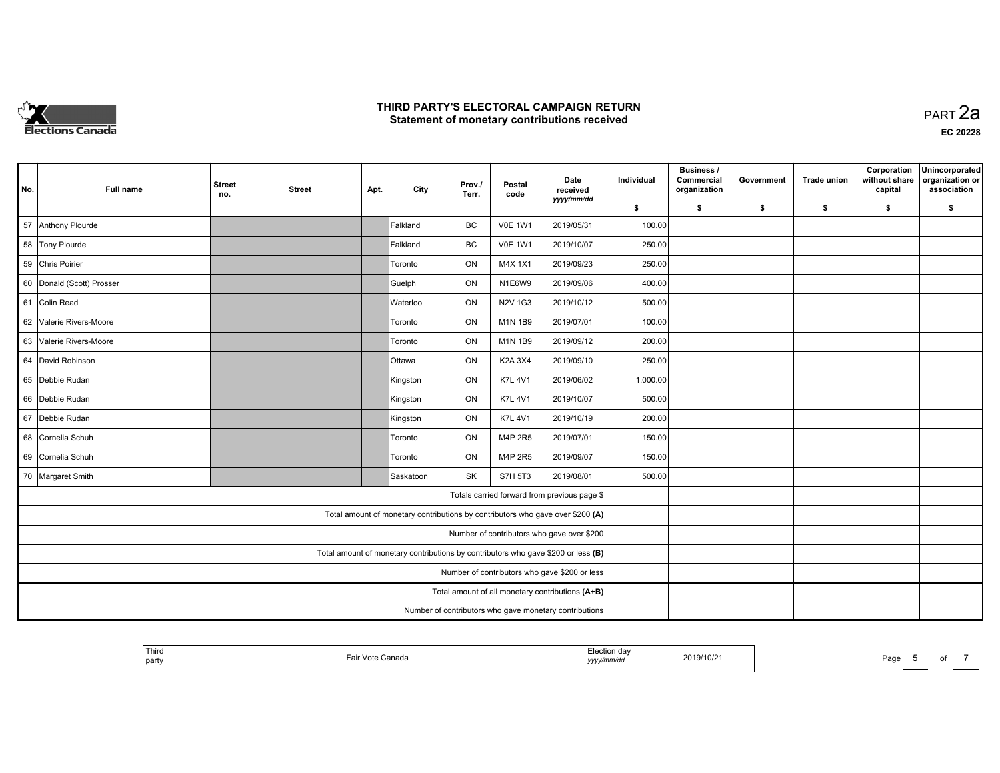

**EC 20228**

| No.                                              | <b>Full name</b>          | <b>Street</b><br>no.                                                              | <b>Street</b> | Apt. | City          | Prov./<br>Terr. | Postal<br>code | Date<br>received<br>yyyy/mm/dd                                                 | Individual | Business /<br>Commercial<br>organization | Government | <b>Trade union</b> | Corporation<br>without share<br>capital | Unincorporated<br>organization or<br>association |
|--------------------------------------------------|---------------------------|-----------------------------------------------------------------------------------|---------------|------|---------------|-----------------|----------------|--------------------------------------------------------------------------------|------------|------------------------------------------|------------|--------------------|-----------------------------------------|--------------------------------------------------|
|                                                  |                           |                                                                                   |               |      |               |                 |                |                                                                                | \$         | s.                                       | \$         | -\$                | \$                                      | \$                                               |
| 57                                               | Anthony Plourde           |                                                                                   |               |      | Falkland      | BC              | <b>V0E 1W1</b> | 2019/05/31                                                                     | 100.00     |                                          |            |                    |                                         |                                                  |
|                                                  | 58 Tony Plourde           |                                                                                   |               |      | Falkland      | BC              | <b>V0E 1W1</b> | 2019/10/07                                                                     | 250.00     |                                          |            |                    |                                         |                                                  |
|                                                  | 59 Chris Poirier          |                                                                                   |               |      | Toronto       | ON              | M4X 1X1        | 2019/09/23                                                                     | 250.00     |                                          |            |                    |                                         |                                                  |
|                                                  | 60 Donald (Scott) Prosser |                                                                                   |               |      | Guelph        | ON              | N1E6W9         | 2019/09/06                                                                     | 400.00     |                                          |            |                    |                                         |                                                  |
| 61                                               | Colin Read                |                                                                                   |               |      | Waterloo      | ON              | N2V 1G3        | 2019/10/12                                                                     | 500.00     |                                          |            |                    |                                         |                                                  |
| 62                                               | Valerie Rivers-Moore      |                                                                                   |               |      | Toronto       | ON              | M1N 1B9        | 2019/07/01                                                                     | 100.00     |                                          |            |                    |                                         |                                                  |
| 63                                               | Valerie Rivers-Moore      |                                                                                   |               |      | Toronto       | ON              | M1N 1B9        | 2019/09/12                                                                     | 200.00     |                                          |            |                    |                                         |                                                  |
| 64                                               | David Robinson            |                                                                                   |               |      | <b>Ottawa</b> | ON              | K2A 3X4        | 2019/09/10                                                                     | 250.00     |                                          |            |                    |                                         |                                                  |
|                                                  | 65 Debbie Rudan           |                                                                                   |               |      | Kingston      | ON              | <b>K7L 4V1</b> | 2019/06/02                                                                     | 1,000.00   |                                          |            |                    |                                         |                                                  |
|                                                  | 66 Debbie Rudan           |                                                                                   |               |      | Kingston      | ON              | <b>K7L 4V1</b> | 2019/10/07                                                                     | 500.00     |                                          |            |                    |                                         |                                                  |
| 67                                               | Debbie Rudan              |                                                                                   |               |      | Kingston      | ON              | <b>K7L 4V1</b> | 2019/10/19                                                                     | 200.00     |                                          |            |                    |                                         |                                                  |
|                                                  | 68 Cornelia Schuh         |                                                                                   |               |      | Toronto       | ON              | M4P 2R5        | 2019/07/01                                                                     | 150.00     |                                          |            |                    |                                         |                                                  |
|                                                  | 69 Cornelia Schuh         |                                                                                   |               |      | Toronto       | ON              | M4P 2R5        | 2019/09/07                                                                     | 150.00     |                                          |            |                    |                                         |                                                  |
|                                                  | 70 Margaret Smith         |                                                                                   |               |      | Saskatoon     | <b>SK</b>       | <b>S7H 5T3</b> | 2019/08/01                                                                     | 500.00     |                                          |            |                    |                                         |                                                  |
|                                                  |                           |                                                                                   |               |      |               |                 |                | Totals carried forward from previous page \$                                   |            |                                          |            |                    |                                         |                                                  |
|                                                  |                           |                                                                                   |               |      |               |                 |                | Total amount of monetary contributions by contributors who gave over \$200 (A) |            |                                          |            |                    |                                         |                                                  |
|                                                  |                           |                                                                                   |               |      |               |                 |                | Number of contributors who gave over \$200                                     |            |                                          |            |                    |                                         |                                                  |
|                                                  |                           | Total amount of monetary contributions by contributors who gave \$200 or less (B) |               |      |               |                 |                |                                                                                |            |                                          |            |                    |                                         |                                                  |
| Number of contributors who gave \$200 or less    |                           |                                                                                   |               |      |               |                 |                |                                                                                |            |                                          |            |                    |                                         |                                                  |
| Total amount of all monetary contributions (A+B) |                           |                                                                                   |               |      |               |                 |                |                                                                                |            |                                          |            |                    |                                         |                                                  |
|                                                  |                           | Number of contributors who gave monetary contributions                            |               |      |               |                 |                |                                                                                |            |                                          |            |                    |                                         |                                                  |

| <sup>I</sup> Third<br>I Election dav<br>2019/10/21<br>Fail<br>Vot<br>ำกลda<br>' part.<br>nm/di<br>yyyy |
|--------------------------------------------------------------------------------------------------------|
|--------------------------------------------------------------------------------------------------------|

Page 5 of 7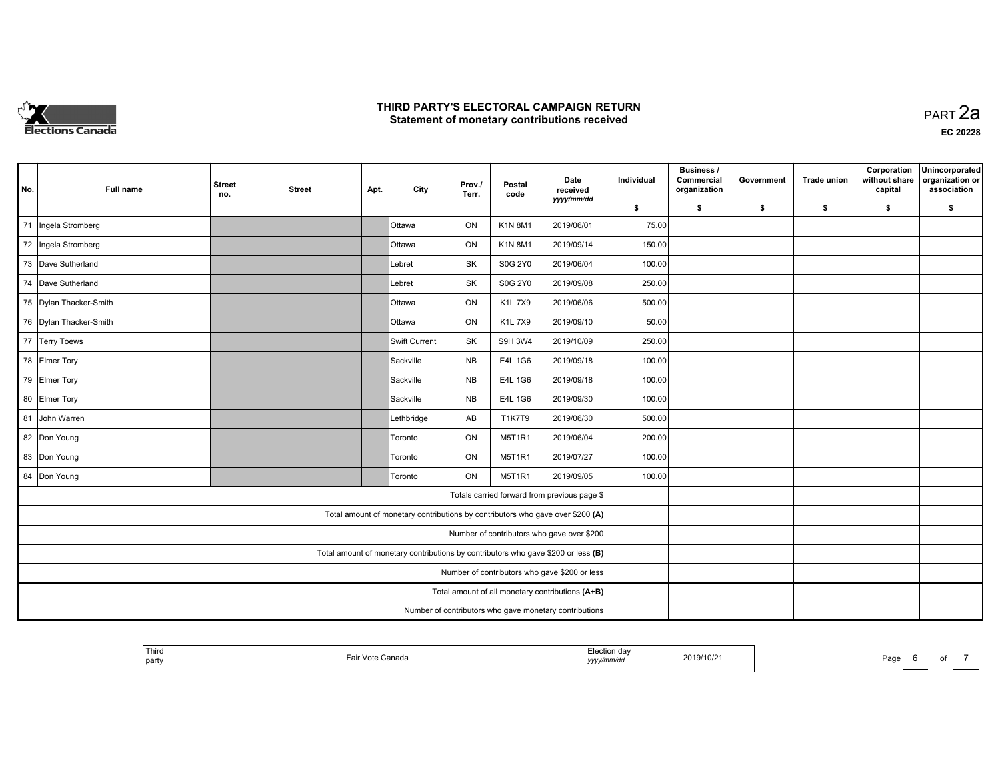

**EC 20228**

| No.                                              | Full name              | <b>Street</b><br>no. | <b>Street</b> | Apt. | City                                                                              | Prov./<br>Terr. | Postal<br>code | Date<br>received<br>yyyy/mm/dd               | Individual | <b>Business /</b><br>Commercial<br>organization | Government | <b>Trade union</b> | Corporation<br>without share<br>capital | Unincorporated<br>organization or<br>association |
|--------------------------------------------------|------------------------|----------------------|---------------|------|-----------------------------------------------------------------------------------|-----------------|----------------|----------------------------------------------|------------|-------------------------------------------------|------------|--------------------|-----------------------------------------|--------------------------------------------------|
|                                                  |                        |                      |               |      |                                                                                   |                 |                |                                              | \$         | s.                                              | -\$        | -\$                | \$                                      | \$                                               |
| 71                                               | Ingela Stromberg       |                      |               |      | <b>Ottawa</b>                                                                     | ON              | K1N 8M1        | 2019/06/01                                   | 75.00      |                                                 |            |                    |                                         |                                                  |
|                                                  | 72 Ingela Stromberg    |                      |               |      | <b>O</b> ttawa                                                                    | ON              | <b>K1N8M1</b>  | 2019/09/14                                   | 150.00     |                                                 |            |                    |                                         |                                                  |
|                                                  | 73 Dave Sutherland     |                      |               |      | Lebret                                                                            | SK              | <b>S0G 2Y0</b> | 2019/06/04                                   | 100.00     |                                                 |            |                    |                                         |                                                  |
|                                                  | 74 Dave Sutherland     |                      |               |      | Lebret                                                                            | SK              | <b>S0G 2Y0</b> | 2019/09/08                                   | 250.00     |                                                 |            |                    |                                         |                                                  |
|                                                  | 75 Dylan Thacker-Smith |                      |               |      | <b>Ottawa</b>                                                                     | ON              | K1L 7X9        | 2019/06/06                                   | 500.00     |                                                 |            |                    |                                         |                                                  |
|                                                  | 76 Dylan Thacker-Smith |                      |               |      | <b>Ottawa</b>                                                                     | ON              | <b>K1L7X9</b>  | 2019/09/10                                   | 50.00      |                                                 |            |                    |                                         |                                                  |
|                                                  | 77 Terry Toews         |                      |               |      | Swift Current                                                                     | SK              | <b>S9H 3W4</b> | 2019/10/09                                   | 250.00     |                                                 |            |                    |                                         |                                                  |
|                                                  | 78 Elmer Tory          |                      |               |      | Sackville                                                                         | <b>NB</b>       | E4L 1G6        | 2019/09/18                                   | 100.00     |                                                 |            |                    |                                         |                                                  |
|                                                  | 79 Elmer Tory          |                      |               |      | Sackville                                                                         | <b>NB</b>       | E4L 1G6        | 2019/09/18                                   | 100.00     |                                                 |            |                    |                                         |                                                  |
|                                                  | 80 Elmer Tory          |                      |               |      | Sackville                                                                         | <b>NB</b>       | E4L 1G6        | 2019/09/30                                   | 100.00     |                                                 |            |                    |                                         |                                                  |
|                                                  | 81 John Warren         |                      |               |      | Lethbridge                                                                        | AB              | T1K7T9         | 2019/06/30                                   | 500.00     |                                                 |            |                    |                                         |                                                  |
|                                                  | 82 Don Young           |                      |               |      | Toronto                                                                           | ON              | <b>M5T1R1</b>  | 2019/06/04                                   | 200.00     |                                                 |            |                    |                                         |                                                  |
|                                                  | 83 Don Young           |                      |               |      | Toronto                                                                           | ON              | <b>M5T1R1</b>  | 2019/07/27                                   | 100.00     |                                                 |            |                    |                                         |                                                  |
|                                                  | 84 Don Young           |                      |               |      | Toronto                                                                           | ON              | M5T1R1         | 2019/09/05                                   | 100.00     |                                                 |            |                    |                                         |                                                  |
|                                                  |                        |                      |               |      |                                                                                   |                 |                | Totals carried forward from previous page \$ |            |                                                 |            |                    |                                         |                                                  |
|                                                  |                        |                      |               |      | Total amount of monetary contributions by contributors who gave over \$200 (A)    |                 |                |                                              |            |                                                 |            |                    |                                         |                                                  |
|                                                  |                        |                      |               |      |                                                                                   |                 |                | Number of contributors who gave over \$200   |            |                                                 |            |                    |                                         |                                                  |
|                                                  |                        |                      |               |      | Total amount of monetary contributions by contributors who gave \$200 or less (B) |                 |                |                                              |            |                                                 |            |                    |                                         |                                                  |
| Number of contributors who gave \$200 or less    |                        |                      |               |      |                                                                                   |                 |                |                                              |            |                                                 |            |                    |                                         |                                                  |
| Total amount of all monetary contributions (A+B) |                        |                      |               |      |                                                                                   |                 |                |                                              |            |                                                 |            |                    |                                         |                                                  |
|                                                  |                        |                      |               |      |                                                                                   |                 |                |                                              |            |                                                 |            |                    |                                         |                                                  |

| 2019/10/21<br>Fair Vote Canada<br>  party<br>yyyy/mm/dd |
|---------------------------------------------------------|
|---------------------------------------------------------|

Page 6 of 7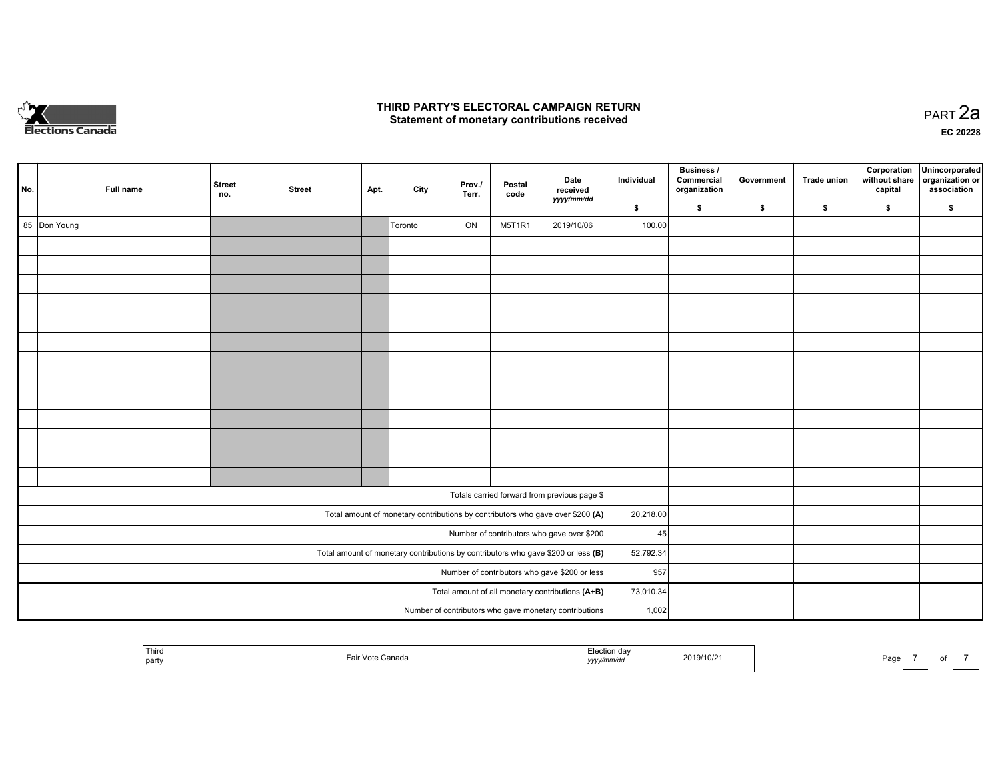

**EC 20228**

| No.                                              | Full name    | Street<br>no.                                                                       | <b>Street</b> | Apt. | City    | Prov./<br>Terr. | Postal<br>code | Date<br>received<br>yyyy/mm/dd                                                 | Individual | Business /<br>Commercial<br>organization | Government | Trade union | Corporation<br>without share<br>capital | Unincorporated<br>organization or<br>association |
|--------------------------------------------------|--------------|-------------------------------------------------------------------------------------|---------------|------|---------|-----------------|----------------|--------------------------------------------------------------------------------|------------|------------------------------------------|------------|-------------|-----------------------------------------|--------------------------------------------------|
|                                                  |              |                                                                                     |               |      |         |                 |                |                                                                                | \$         | \$                                       | \$         | \$          | \$                                      | \$                                               |
|                                                  | 85 Don Young |                                                                                     |               |      | Toronto | ON              | M5T1R1         | 2019/10/06                                                                     | 100.00     |                                          |            |             |                                         |                                                  |
|                                                  |              |                                                                                     |               |      |         |                 |                |                                                                                |            |                                          |            |             |                                         |                                                  |
|                                                  |              |                                                                                     |               |      |         |                 |                |                                                                                |            |                                          |            |             |                                         |                                                  |
|                                                  |              |                                                                                     |               |      |         |                 |                |                                                                                |            |                                          |            |             |                                         |                                                  |
|                                                  |              |                                                                                     |               |      |         |                 |                |                                                                                |            |                                          |            |             |                                         |                                                  |
|                                                  |              |                                                                                     |               |      |         |                 |                |                                                                                |            |                                          |            |             |                                         |                                                  |
|                                                  |              |                                                                                     |               |      |         |                 |                |                                                                                |            |                                          |            |             |                                         |                                                  |
|                                                  |              |                                                                                     |               |      |         |                 |                |                                                                                |            |                                          |            |             |                                         |                                                  |
|                                                  |              |                                                                                     |               |      |         |                 |                |                                                                                |            |                                          |            |             |                                         |                                                  |
|                                                  |              |                                                                                     |               |      |         |                 |                |                                                                                |            |                                          |            |             |                                         |                                                  |
|                                                  |              |                                                                                     |               |      |         |                 |                |                                                                                |            |                                          |            |             |                                         |                                                  |
|                                                  |              |                                                                                     |               |      |         |                 |                |                                                                                |            |                                          |            |             |                                         |                                                  |
|                                                  |              |                                                                                     |               |      |         |                 |                |                                                                                |            |                                          |            |             |                                         |                                                  |
|                                                  |              |                                                                                     |               |      |         |                 |                |                                                                                |            |                                          |            |             |                                         |                                                  |
|                                                  |              |                                                                                     |               |      |         |                 |                |                                                                                |            |                                          |            |             |                                         |                                                  |
|                                                  |              |                                                                                     |               |      |         |                 |                | Totals carried forward from previous page \$                                   |            |                                          |            |             |                                         |                                                  |
|                                                  |              |                                                                                     |               |      |         |                 |                | Total amount of monetary contributions by contributors who gave over \$200 (A) | 20,218.00  |                                          |            |             |                                         |                                                  |
|                                                  |              |                                                                                     |               |      |         |                 |                | Number of contributors who gave over \$200                                     | 45         |                                          |            |             |                                         |                                                  |
|                                                  |              | Total amount of monetary contributions by contributors who gave \$200 or less $(B)$ | 52,792.34     |      |         |                 |                |                                                                                |            |                                          |            |             |                                         |                                                  |
| Number of contributors who gave \$200 or less    |              |                                                                                     |               |      |         |                 |                |                                                                                |            | 957                                      |            |             |                                         |                                                  |
| Total amount of all monetary contributions (A+B) |              |                                                                                     |               |      |         |                 |                |                                                                                |            | 73,010.34                                |            |             |                                         |                                                  |
|                                                  |              | 1,002                                                                               |               |      |         |                 |                |                                                                                |            |                                          |            |             |                                         |                                                  |

|  | ' Thirc<br>  party | anada: | <i>yyyy</i> | 2019/10/2 | Page |  |  |  |
|--|--------------------|--------|-------------|-----------|------|--|--|--|
|--|--------------------|--------|-------------|-----------|------|--|--|--|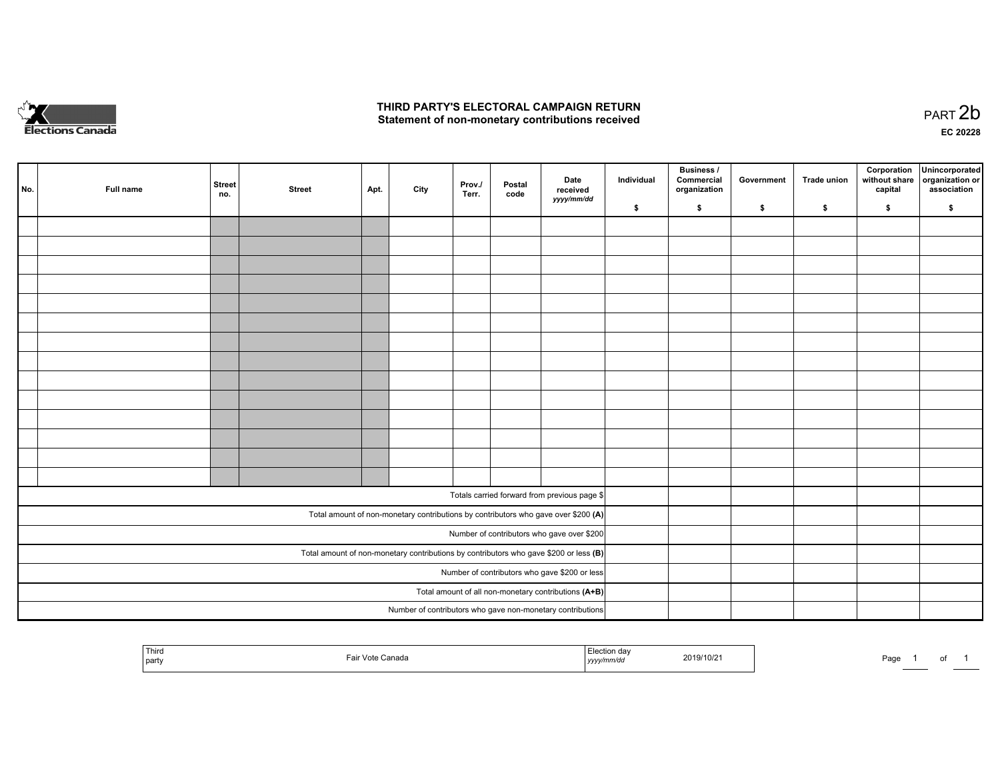

of 1

|                                                                                                                                          | No. | Full name | <b>Street</b><br>no.                                       | <b>Street</b> | Apt. | City | Prov.<br>Terr. | Postal<br>code | Date<br>received<br>yyyy/mm/dd                                                     | Individual | <b>Business /</b><br>Commercial<br>organization | Government | Trade union | Corporation<br>without share<br>capital | Unincorporated<br>organization or<br>association |
|------------------------------------------------------------------------------------------------------------------------------------------|-----|-----------|------------------------------------------------------------|---------------|------|------|----------------|----------------|------------------------------------------------------------------------------------|------------|-------------------------------------------------|------------|-------------|-----------------------------------------|--------------------------------------------------|
|                                                                                                                                          |     |           |                                                            |               |      |      |                |                |                                                                                    | \$         | \$                                              | \$         | \$          | \$                                      | \$                                               |
|                                                                                                                                          |     |           |                                                            |               |      |      |                |                |                                                                                    |            |                                                 |            |             |                                         |                                                  |
|                                                                                                                                          |     |           |                                                            |               |      |      |                |                |                                                                                    |            |                                                 |            |             |                                         |                                                  |
|                                                                                                                                          |     |           |                                                            |               |      |      |                |                |                                                                                    |            |                                                 |            |             |                                         |                                                  |
|                                                                                                                                          |     |           |                                                            |               |      |      |                |                |                                                                                    |            |                                                 |            |             |                                         |                                                  |
|                                                                                                                                          |     |           |                                                            |               |      |      |                |                |                                                                                    |            |                                                 |            |             |                                         |                                                  |
|                                                                                                                                          |     |           |                                                            |               |      |      |                |                |                                                                                    |            |                                                 |            |             |                                         |                                                  |
|                                                                                                                                          |     |           |                                                            |               |      |      |                |                |                                                                                    |            |                                                 |            |             |                                         |                                                  |
|                                                                                                                                          |     |           |                                                            |               |      |      |                |                |                                                                                    |            |                                                 |            |             |                                         |                                                  |
|                                                                                                                                          |     |           |                                                            |               |      |      |                |                |                                                                                    |            |                                                 |            |             |                                         |                                                  |
|                                                                                                                                          |     |           |                                                            |               |      |      |                |                |                                                                                    |            |                                                 |            |             |                                         |                                                  |
|                                                                                                                                          |     |           |                                                            |               |      |      |                |                |                                                                                    |            |                                                 |            |             |                                         |                                                  |
|                                                                                                                                          |     |           |                                                            |               |      |      |                |                |                                                                                    |            |                                                 |            |             |                                         |                                                  |
|                                                                                                                                          |     |           |                                                            |               |      |      |                |                |                                                                                    |            |                                                 |            |             |                                         |                                                  |
|                                                                                                                                          |     |           |                                                            |               |      |      |                |                |                                                                                    |            |                                                 |            |             |                                         |                                                  |
|                                                                                                                                          |     |           |                                                            |               |      |      |                |                |                                                                                    |            |                                                 |            |             |                                         |                                                  |
|                                                                                                                                          |     |           |                                                            |               |      |      |                |                | Totals carried forward from previous page \$                                       |            |                                                 |            |             |                                         |                                                  |
|                                                                                                                                          |     |           |                                                            |               |      |      |                |                | Total amount of non-monetary contributions by contributors who gave over \$200 (A) |            |                                                 |            |             |                                         |                                                  |
|                                                                                                                                          |     |           |                                                            |               |      |      |                |                | Number of contributors who gave over \$200                                         |            |                                                 |            |             |                                         |                                                  |
|                                                                                                                                          |     |           |                                                            |               |      |      |                |                |                                                                                    |            |                                                 |            |             |                                         |                                                  |
| Total amount of non-monetary contributions by contributors who gave \$200 or less $(B)$<br>Number of contributors who gave \$200 or less |     |           |                                                            |               |      |      |                |                |                                                                                    |            |                                                 |            |             |                                         |                                                  |
| Total amount of all non-monetary contributions (A+B)                                                                                     |     |           |                                                            |               |      |      |                |                |                                                                                    |            |                                                 |            |             |                                         |                                                  |
|                                                                                                                                          |     |           | Number of contributors who gave non-monetary contributions |               |      |      |                |                |                                                                                    |            |                                                 |            |             |                                         |                                                  |
|                                                                                                                                          |     |           |                                                            |               |      |      |                |                |                                                                                    |            |                                                 |            |             |                                         |                                                  |

| Third<br>  party | ≅Vote Canada | Election day<br>yyyy/mm/dd | 2019/10/21 | Page | ___ |
|------------------|--------------|----------------------------|------------|------|-----|
|                  |              |                            |            |      |     |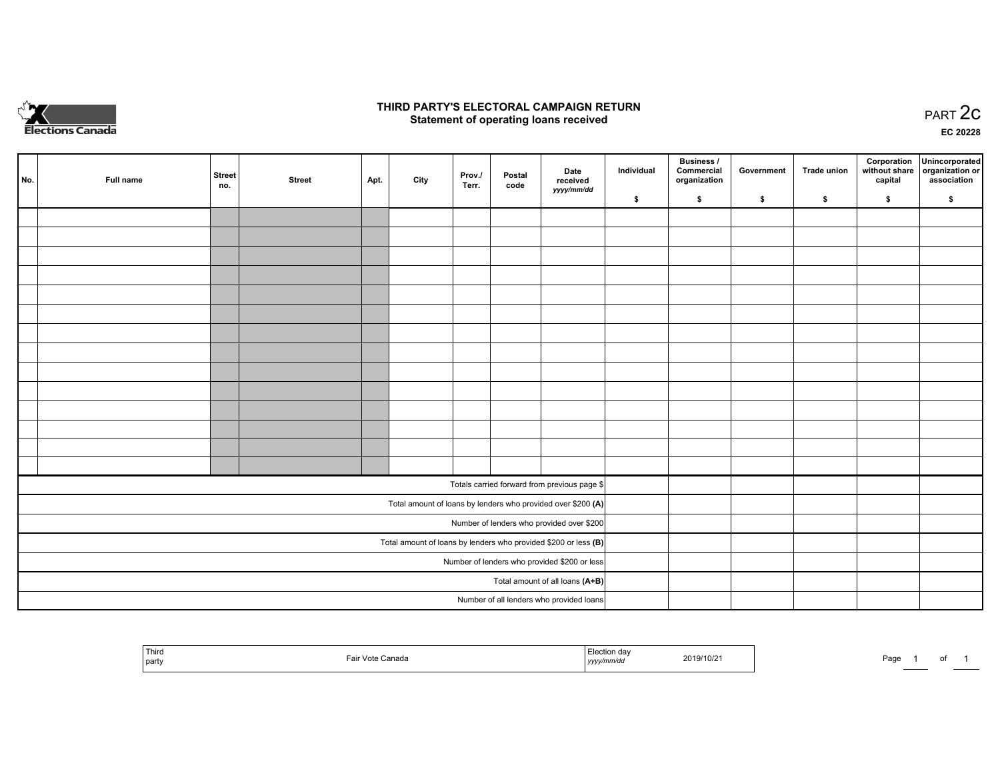

## **THIRD PARTY'S ELECTORAL CAMPAIGN RETURN STATE:** PRACT OF OPPRESS TO PART 2C STATE STATE STATE STATE STATE STATE STATE STATE STATE STATE STATE STATE STA<br>PART 2C Statement of operating loans received

**EC 20228**

|                                                                   |     |           |               |               |      |      |                 |                |                                                              | Individual | Business /<br>Commercial | Government | Trade union  |         | Corporation Unincorporated                   |
|-------------------------------------------------------------------|-----|-----------|---------------|---------------|------|------|-----------------|----------------|--------------------------------------------------------------|------------|--------------------------|------------|--------------|---------|----------------------------------------------|
|                                                                   | No. | Full name | Street<br>no. | <b>Street</b> | Apt. | City | Prov./<br>Terr. | Postal<br>code | Date<br>received                                             |            | organization             |            |              | capital | without share organization or<br>association |
|                                                                   |     |           |               |               |      |      |                 |                | yyyy/mm/dd                                                   | \$         | \$                       | \$         | $\mathbf{s}$ | \$      | \$                                           |
|                                                                   |     |           |               |               |      |      |                 |                |                                                              |            |                          |            |              |         |                                              |
|                                                                   |     |           |               |               |      |      |                 |                |                                                              |            |                          |            |              |         |                                              |
|                                                                   |     |           |               |               |      |      |                 |                |                                                              |            |                          |            |              |         |                                              |
|                                                                   |     |           |               |               |      |      |                 |                |                                                              |            |                          |            |              |         |                                              |
|                                                                   |     |           |               |               |      |      |                 |                |                                                              |            |                          |            |              |         |                                              |
|                                                                   |     |           |               |               |      |      |                 |                |                                                              |            |                          |            |              |         |                                              |
|                                                                   |     |           |               |               |      |      |                 |                |                                                              |            |                          |            |              |         |                                              |
|                                                                   |     |           |               |               |      |      |                 |                |                                                              |            |                          |            |              |         |                                              |
|                                                                   |     |           |               |               |      |      |                 |                |                                                              |            |                          |            |              |         |                                              |
|                                                                   |     |           |               |               |      |      |                 |                |                                                              |            |                          |            |              |         |                                              |
|                                                                   |     |           |               |               |      |      |                 |                |                                                              |            |                          |            |              |         |                                              |
|                                                                   |     |           |               |               |      |      |                 |                |                                                              |            |                          |            |              |         |                                              |
|                                                                   |     |           |               |               |      |      |                 |                |                                                              |            |                          |            |              |         |                                              |
|                                                                   |     |           |               |               |      |      |                 |                |                                                              |            |                          |            |              |         |                                              |
|                                                                   |     |           |               |               |      |      |                 |                | Totals carried forward from previous page \$                 |            |                          |            |              |         |                                              |
|                                                                   |     |           |               |               |      |      |                 |                | Total amount of loans by lenders who provided over \$200 (A) |            |                          |            |              |         |                                              |
|                                                                   |     |           |               |               |      |      |                 |                | Number of lenders who provided over \$200                    |            |                          |            |              |         |                                              |
| Total amount of loans by lenders who provided \$200 or less $(B)$ |     |           |               |               |      |      |                 |                |                                                              |            |                          |            |              |         |                                              |
| Number of lenders who provided \$200 or less                      |     |           |               |               |      |      |                 |                |                                                              |            |                          |            |              |         |                                              |
| Total amount of all loans (A+B)                                   |     |           |               |               |      |      |                 |                |                                                              |            |                          |            |              |         |                                              |
|                                                                   |     |           |               |               |      |      |                 |                | Number of all lenders who provided loans                     |            |                          |            |              |         |                                              |

| l Third<br>  party | ∵anada<br>∕nte<br>$\overline{\phantom{a}}$ | $\overline{\phantom{a}}$<br>2019/10/2<br>,,,,, | ، ص<br>-aut<br>$\cdot$ |  |
|--------------------|--------------------------------------------|------------------------------------------------|------------------------|--|
|--------------------|--------------------------------------------|------------------------------------------------|------------------------|--|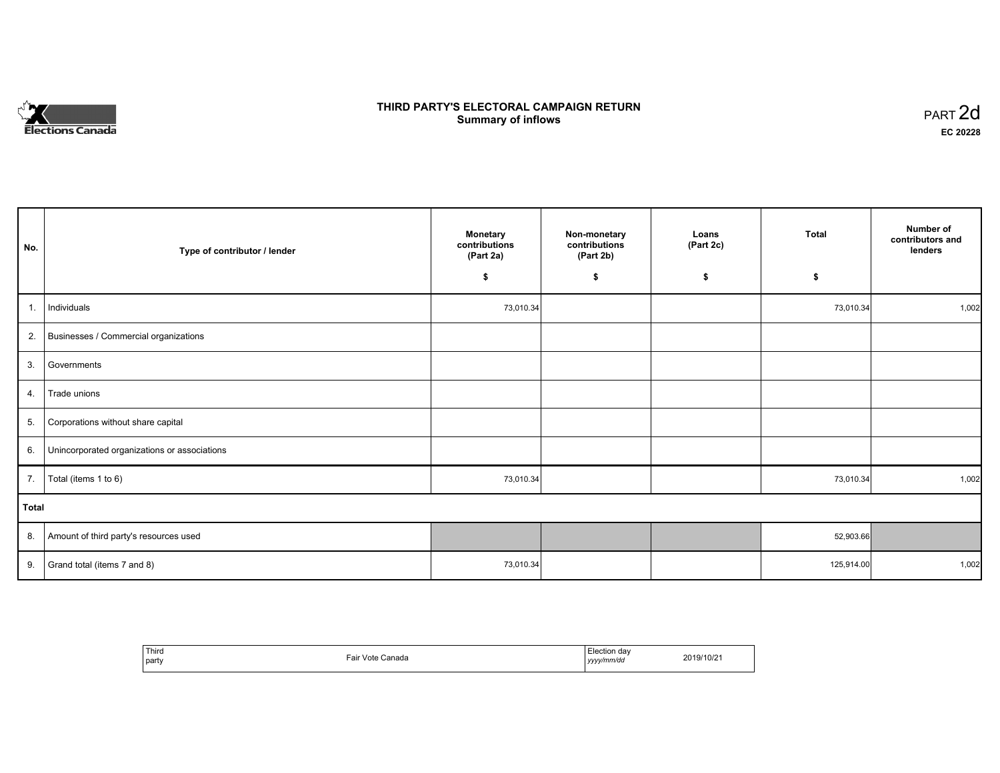# **Elections Canada**

# **THIRD PARTY'S ELECTORAL CAMPAIGN RETURN Summary of inflows**

| PART <sub>2d</sub> |  |
|--------------------|--|
| EC 20228           |  |

| No.   | Type of contributor / lender                 | <b>Monetary</b><br>contributions<br>(Part 2a) | Non-monetary<br>contributions<br>(Part 2b) | Loans<br>(Part 2c) | Total      | Number of<br>contributors and<br>lenders |
|-------|----------------------------------------------|-----------------------------------------------|--------------------------------------------|--------------------|------------|------------------------------------------|
|       |                                              | \$                                            | \$                                         | \$                 | \$         |                                          |
| 1.    | Individuals                                  | 73,010.34                                     |                                            |                    | 73,010.34  | 1,002                                    |
| 2.    | Businesses / Commercial organizations        |                                               |                                            |                    |            |                                          |
| 3.    | Governments                                  |                                               |                                            |                    |            |                                          |
| 4.    | Trade unions                                 |                                               |                                            |                    |            |                                          |
| 5.    | Corporations without share capital           |                                               |                                            |                    |            |                                          |
| 6.    | Unincorporated organizations or associations |                                               |                                            |                    |            |                                          |
| 7.    | Total (items 1 to 6)                         | 73,010.34                                     |                                            |                    | 73,010.34  | 1,002                                    |
| Total |                                              |                                               |                                            |                    |            |                                          |
| 8.    | Amount of third party's resources used       |                                               |                                            |                    | 52,903.66  |                                          |
| 9.    | Grand total (items 7 and 8)                  | 73,010.34                                     |                                            |                    | 125,914.00 | 1,002                                    |

| `Third<br>party | Canada<br>Vote 1<br>-air<br>. | Election dav<br>.<br>. .<br>yy/mm/dd<br>1/1/1<br>,,,,, | 2019/10/21 |
|-----------------|-------------------------------|--------------------------------------------------------|------------|
|-----------------|-------------------------------|--------------------------------------------------------|------------|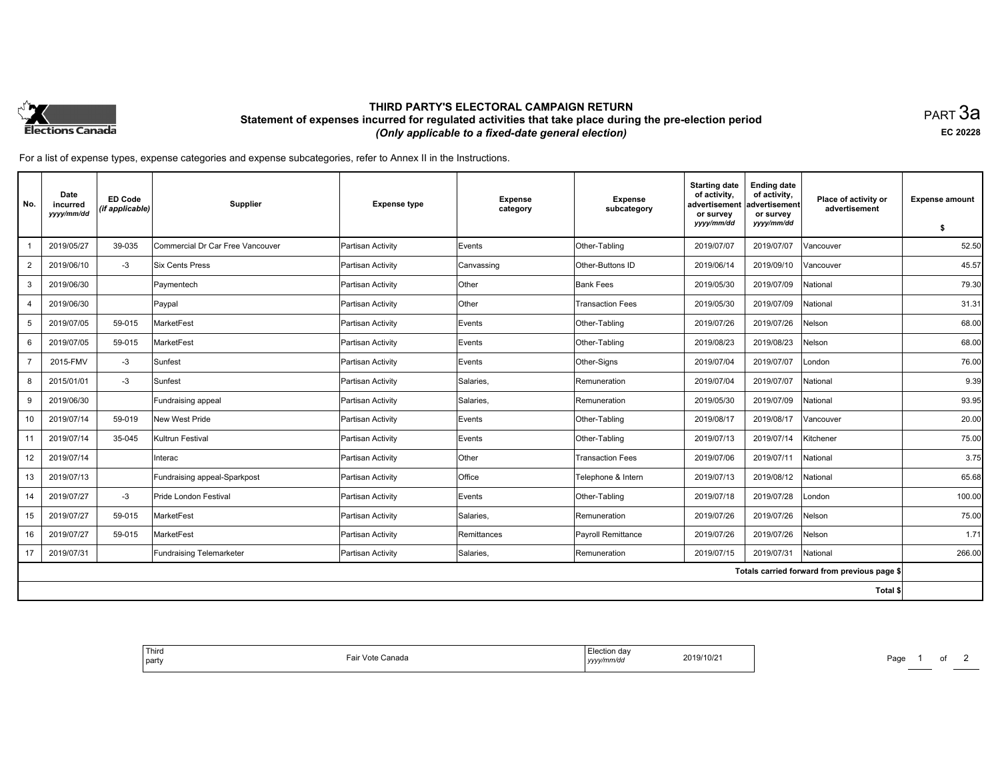

## **THIRD PARTY'S ELECTORAL CAMPAIGN RETURN Statement of expenses incurred for regulated activities that take place during the pre-election period**  *(Only applicable to a fixed-date general election)*

PART 3a **EC 20228**

| No.            | Date<br>incurred<br>yyyy/mm/dd | <b>ED Code</b><br>(if applicable) | Supplier                         | <b>Expense type</b> | <b>Expense</b><br>category | <b>Expense</b><br>subcategory | <b>Starting date</b><br>of activity,<br>advertisement<br>or survey | <b>Ending date</b><br>of activity,<br>advertisement<br>or survey | Place of activity or<br>advertisement        | <b>Expense amount</b> |
|----------------|--------------------------------|-----------------------------------|----------------------------------|---------------------|----------------------------|-------------------------------|--------------------------------------------------------------------|------------------------------------------------------------------|----------------------------------------------|-----------------------|
|                |                                |                                   |                                  |                     |                            |                               | yyyy/mm/dd                                                         | yyyy/mm/dd                                                       |                                              | \$                    |
|                | 2019/05/27                     | 39-035                            | Commercial Dr Car Free Vancouver | Partisan Activity   | Events                     | Other-Tabling                 | 2019/07/07                                                         | 2019/07/07                                                       | Vancouver                                    | 52.50                 |
| 2              | 2019/06/10                     | $-3$                              | <b>Six Cents Press</b>           | Partisan Activity   | Canvassing                 | Other-Buttons ID              | 2019/06/14                                                         | 2019/09/10                                                       | Vancouver                                    | 45.57                 |
| 3              | 2019/06/30                     |                                   | Paymentech                       | Partisan Activity   | Other                      | Bank Fees                     | 2019/05/30                                                         | 2019/07/09                                                       | National                                     | 79.30                 |
| 4              | 2019/06/30                     |                                   | Paypal                           | Partisan Activity   | Other                      | <b>Transaction Fees</b>       | 2019/05/30                                                         | 2019/07/09                                                       | National                                     | 31.31                 |
| 5              | 2019/07/05                     | 59-015                            | MarketFest                       | Partisan Activity   | Events                     | Other-Tabling                 | 2019/07/26                                                         | 2019/07/26                                                       | Nelson                                       | 68.00                 |
| 6              | 2019/07/05                     | 59-015                            | MarketFest                       | Partisan Activity   | Events                     | Other-Tabling                 | 2019/08/23                                                         | 2019/08/23                                                       | Nelson                                       | 68.00                 |
| $\overline{7}$ | 2015-FMV                       | $-3$                              | Sunfest                          | Partisan Activity   | Events                     | Other-Signs                   | 2019/07/04                                                         | 2019/07/07                                                       | London                                       | 76.00                 |
| 8              | 2015/01/01                     | $-3$                              | Sunfest                          | Partisan Activity   | Salaries,                  | Remuneration                  | 2019/07/04                                                         | 2019/07/07                                                       | National                                     | 9.39                  |
| 9              | 2019/06/30                     |                                   | Fundraising appeal               | Partisan Activity   | Salaries,                  | Remuneration                  | 2019/05/30                                                         | 2019/07/09                                                       | National                                     | 93.95                 |
| 10             | 2019/07/14                     | 59-019                            | New West Pride                   | Partisan Activity   | Events                     | Other-Tabling                 | 2019/08/17                                                         | 2019/08/17                                                       | Vancouver                                    | 20.00                 |
| 11             | 2019/07/14                     | 35-045                            | Kultrun Festival                 | Partisan Activity   | Events                     | Other-Tabling                 | 2019/07/13                                                         | 2019/07/14                                                       | Kitchener                                    | 75.00                 |
| 12             | 2019/07/14                     |                                   | Interac                          | Partisan Activity   | Other                      | <b>Transaction Fees</b>       | 2019/07/06                                                         | 2019/07/11                                                       | National                                     | 3.75                  |
| 13             | 2019/07/13                     |                                   | Fundraising appeal-Sparkpost     | Partisan Activity   | Office                     | Telephone & Intern            | 2019/07/13                                                         | 2019/08/12                                                       | National                                     | 65.68                 |
| 14             | 2019/07/27                     | $-3$                              | Pride London Festival            | Partisan Activity   | Events                     | Other-Tabling                 | 2019/07/18                                                         | 2019/07/28                                                       | London                                       | 100.00                |
| 15             | 2019/07/27                     | 59-015                            | MarketFest                       | Partisan Activity   | Salaries,                  | Remuneration                  | 2019/07/26                                                         | 2019/07/26                                                       | Nelson                                       | 75.00                 |
| 16             | 2019/07/27                     | 59-015                            | MarketFest                       | Partisan Activity   | Remittances                | Payroll Remittance            | 2019/07/26                                                         | 2019/07/26                                                       | Nelson                                       | 1.71                  |
| 17             | 2019/07/31                     |                                   | <b>Fundraising Telemarketer</b>  | Partisan Activity   | Salaries,                  | Remuneration                  | 2019/07/15                                                         | 2019/07/31                                                       | National                                     | 266.00                |
|                |                                |                                   |                                  |                     |                            |                               |                                                                    |                                                                  | Totals carried forward from previous page \$ |                       |
|                |                                |                                   |                                  |                     |                            |                               |                                                                    |                                                                  | Total \$                                     |                       |

| <sup>!</sup> Third<br>  party | Fair Vote Canada | ection dav<br>2019/10/21<br>  yyyy/mm/dd | Page |
|-------------------------------|------------------|------------------------------------------|------|
|-------------------------------|------------------|------------------------------------------|------|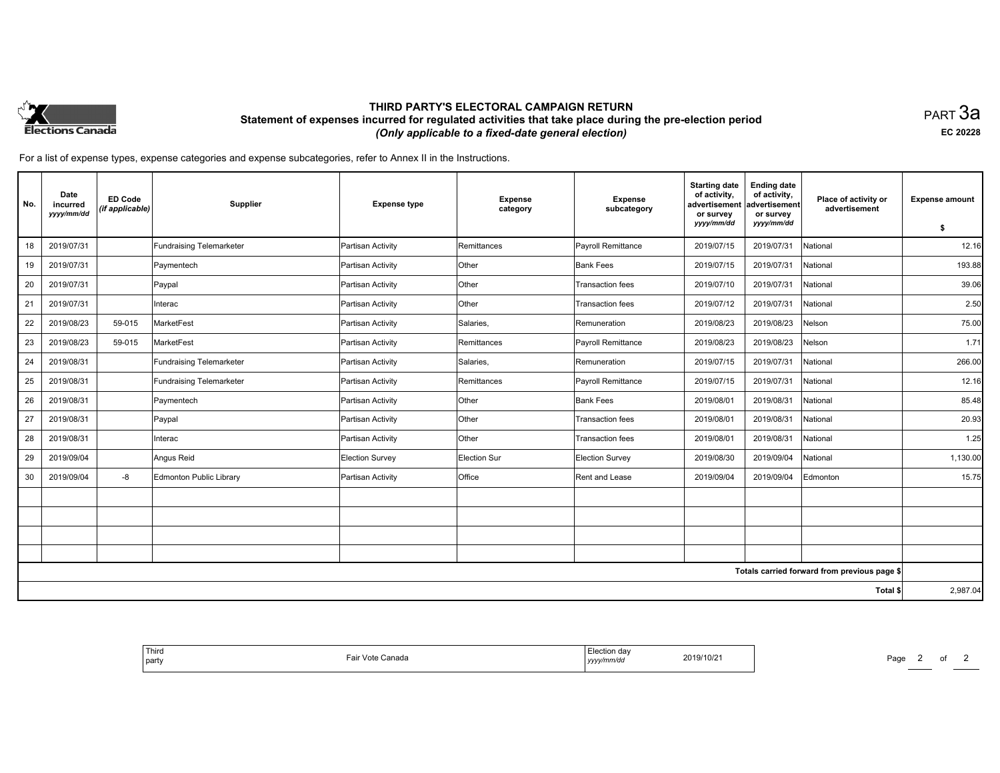

## **THIRD PARTY'S ELECTORAL CAMPAIGN RETURN Statement of expenses incurred for regulated activities that take place during the pre-election period**  *(Only applicable to a fixed-date general election)*

PART 3a **EC 20228**

| No. | Date<br>incurred<br>yyyy/mm/dd | <b>ED Code</b><br>(if applicable) | Supplier                        | <b>Expense type</b>    | <b>Expense</b><br>category | <b>Expense</b><br>subcategory | <b>Starting date</b><br>of activity,<br>advertisement<br>or survey<br>yyyy/mm/dd | <b>Ending date</b><br>of activity,<br>advertisement<br>or survey<br>yyyy/mm/dd | Place of activity or<br>advertisement        | <b>Expense amount</b><br>\$ |
|-----|--------------------------------|-----------------------------------|---------------------------------|------------------------|----------------------------|-------------------------------|----------------------------------------------------------------------------------|--------------------------------------------------------------------------------|----------------------------------------------|-----------------------------|
| 18  | 2019/07/31                     |                                   | <b>Fundraising Telemarketer</b> | Partisan Activity      | Remittances                | Payroll Remittance            | 2019/07/15                                                                       | 2019/07/31                                                                     | National                                     | 12.16                       |
| 19  | 2019/07/31                     |                                   | Paymentech                      | Partisan Activity      | Other                      | <b>Bank Fees</b>              | 2019/07/15                                                                       | 2019/07/31                                                                     | National                                     | 193.88                      |
|     |                                |                                   |                                 |                        |                            |                               |                                                                                  |                                                                                |                                              |                             |
| 20  | 2019/07/31                     |                                   | Paypal                          | Partisan Activity      | Other                      | <b>Transaction fees</b>       | 2019/07/10                                                                       | 2019/07/31                                                                     | National                                     | 39.06                       |
| 21  | 2019/07/31                     |                                   | Interac                         | Partisan Activity      | Other                      | Transaction fees              | 2019/07/12                                                                       | 2019/07/31                                                                     | National                                     | 2.50                        |
| 22  | 2019/08/23                     | 59-015                            | MarketFest                      | Partisan Activity      | Salaries,                  | Remuneration                  | 2019/08/23                                                                       | 2019/08/23                                                                     | Nelson                                       | 75.00                       |
| 23  | 2019/08/23                     | 59-015                            | MarketFest                      | Partisan Activity      | Remittances                | <b>Payroll Remittance</b>     | 2019/08/23                                                                       | 2019/08/23                                                                     | Nelson                                       | 1.71                        |
| 24  | 2019/08/31                     |                                   | Fundraising Telemarketer        | Partisan Activity      | Salaries,                  | Remuneration                  | 2019/07/15                                                                       | 2019/07/31                                                                     | National                                     | 266.00                      |
| 25  | 2019/08/31                     |                                   | <b>Fundraising Telemarketer</b> | Partisan Activity      | Remittances                | Payroll Remittance            | 2019/07/15                                                                       | 2019/07/31                                                                     | National                                     | 12.16                       |
| 26  | 2019/08/31                     |                                   | Paymentech                      | Partisan Activity      | Other                      | <b>Bank Fees</b>              | 2019/08/01                                                                       | 2019/08/31                                                                     | National                                     | 85.48                       |
| 27  | 2019/08/31                     |                                   | Paypal                          | Partisan Activity      | Other                      | Transaction fees              | 2019/08/01                                                                       | 2019/08/31                                                                     | National                                     | 20.93                       |
| 28  | 2019/08/31                     |                                   | Interac                         | Partisan Activity      | Other                      | Transaction fees              | 2019/08/01                                                                       | 2019/08/31                                                                     | National                                     | 1.25                        |
| 29  | 2019/09/04                     |                                   | Angus Reid                      | <b>Election Survey</b> | <b>Election Sur</b>        | <b>Election Survey</b>        | 2019/08/30                                                                       | 2019/09/04                                                                     | National                                     | 1,130.00                    |
| 30  | 2019/09/04                     | -8                                | Edmonton Public Library         | Partisan Activity      | Office                     | Rent and Lease                | 2019/09/04                                                                       | 2019/09/04                                                                     | Edmonton                                     | 15.75                       |
|     |                                |                                   |                                 |                        |                            |                               |                                                                                  |                                                                                |                                              |                             |
|     |                                |                                   |                                 |                        |                            |                               |                                                                                  |                                                                                |                                              |                             |
|     |                                |                                   |                                 |                        |                            |                               |                                                                                  |                                                                                |                                              |                             |
|     |                                |                                   |                                 |                        |                            |                               |                                                                                  |                                                                                |                                              |                             |
|     |                                |                                   |                                 |                        |                            |                               |                                                                                  |                                                                                | Totals carried forward from previous page \$ |                             |
|     |                                |                                   |                                 |                        |                            |                               |                                                                                  |                                                                                | Total \$                                     | 2,987.04                    |

| <sup>1</sup> Thira<br>  party | `anada<br>170T<br>$\sim$ | da<br>2019/10/2<br>the contract of the contract of the contract of the contract of the contract of<br>. | Page |
|-------------------------------|--------------------------|---------------------------------------------------------------------------------------------------------|------|
|-------------------------------|--------------------------|---------------------------------------------------------------------------------------------------------|------|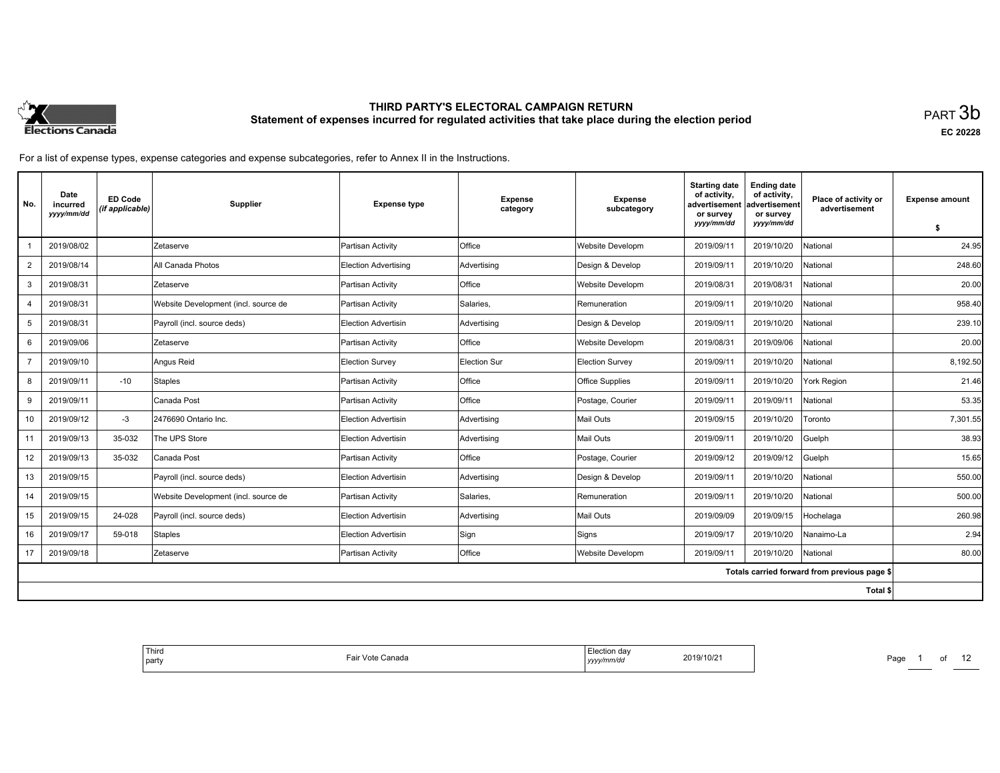

**EC 20228**

| No.            | Date<br>incurred<br>yyyy/mm/dd | <b>ED Code</b><br>(if applicable) | Supplier                             | <b>Expense type</b>         | <b>Expense</b><br>category | <b>Expense</b><br>subcategory | <b>Starting date</b><br>of activity.<br>advertisement<br>or survey | <b>Ending date</b><br>of activity,<br>advertisement<br>or survey | Place of activity or<br>advertisement        | <b>Expense amount</b> |
|----------------|--------------------------------|-----------------------------------|--------------------------------------|-----------------------------|----------------------------|-------------------------------|--------------------------------------------------------------------|------------------------------------------------------------------|----------------------------------------------|-----------------------|
|                |                                |                                   |                                      |                             |                            |                               | yyyy/mm/dd                                                         | yyyy/mm/dd                                                       |                                              | S.                    |
|                | 2019/08/02                     |                                   | Zetaserve                            | Partisan Activity           | <b>Office</b>              | Website Developm              | 2019/09/11                                                         | 2019/10/20                                                       | National                                     | 24.95                 |
| $\overline{2}$ | 2019/08/14                     |                                   | All Canada Photos                    | <b>Election Advertising</b> | Advertising                | Design & Develop              | 2019/09/11                                                         | 2019/10/20                                                       | National                                     | 248.60                |
| 3              | 2019/08/31                     |                                   | Zetaserve                            | Partisan Activity           | Office                     | Website Developm              | 2019/08/31                                                         | 2019/08/31                                                       | National                                     | 20.00                 |
| 4              | 2019/08/31                     |                                   | Website Development (incl. source de | Partisan Activity           | Salaries,                  | Remuneration                  | 2019/09/11                                                         | 2019/10/20                                                       | National                                     | 958.40                |
| 5              | 2019/08/31                     |                                   | Payroll (incl. source deds)          | Election Advertisin         | Advertising                | Design & Develop              | 2019/09/11                                                         | 2019/10/20                                                       | National                                     | 239.10                |
| 6              | 2019/09/06                     |                                   | Zetaserve                            | Partisan Activity           | <b>Office</b>              | Website Developm              | 2019/08/31                                                         | 2019/09/06                                                       | National                                     | 20.00                 |
| $\overline{7}$ | 2019/09/10                     |                                   | Angus Reid                           | <b>Election Survey</b>      | Election Sur               | <b>Election Survey</b>        | 2019/09/11                                                         | 2019/10/20                                                       | National                                     | 8,192.50              |
| 8              | 2019/09/11                     | $-10$                             | Staples                              | Partisan Activity           | <b>Office</b>              | <b>Office Supplies</b>        | 2019/09/11                                                         | 2019/10/20                                                       | York Region                                  | 21.46                 |
| 9              | 2019/09/11                     |                                   | Canada Post                          | Partisan Activity           | <b>Office</b>              | Postage, Courier              | 2019/09/11                                                         | 2019/09/11                                                       | National                                     | 53.35                 |
| 10             | 2019/09/12                     | $-3$                              | 2476690 Ontario Inc.                 | Election Advertisin         | Advertising                | Mail Outs                     | 2019/09/15                                                         | 2019/10/20                                                       | Toronto                                      | 7,301.55              |
| 11             | 2019/09/13                     | 35-032                            | The UPS Store                        | Election Advertisin         | Advertising                | Mail Outs                     | 2019/09/11                                                         | 2019/10/20                                                       | Guelph                                       | 38.93                 |
| 12             | 2019/09/13                     | 35-032                            | Canada Post                          | Partisan Activity           | Office                     | Postage, Courier              | 2019/09/12                                                         | 2019/09/12                                                       | Guelph                                       | 15.65                 |
| 13             | 2019/09/15                     |                                   | Payroll (incl. source deds)          | <b>Election Advertisin</b>  | Advertising                | Design & Develop              | 2019/09/11                                                         | 2019/10/20                                                       | National                                     | 550.00                |
| 14             | 2019/09/15                     |                                   | Website Development (incl. source de | Partisan Activity           | Salaries,                  | Remuneration                  | 2019/09/11                                                         | 2019/10/20                                                       | National                                     | 500.00                |
| 15             | 2019/09/15                     | 24-028                            | Payroll (incl. source deds)          | Election Advertisin         | Advertising                | Mail Outs                     | 2019/09/09                                                         | 2019/09/15                                                       | Hochelaga                                    | 260.98                |
| 16             | 2019/09/17                     | 59-018                            | <b>Staples</b>                       | Election Advertisin         | Sign                       | Signs                         | 2019/09/17                                                         | 2019/10/20                                                       | Nanaimo-La                                   | 2.94                  |
| 17             | 2019/09/18                     |                                   | Zetaserve                            | Partisan Activity           | <b>Office</b>              | Website Developm              | 2019/09/11                                                         | 2019/10/20                                                       | National                                     | 80.00                 |
|                |                                |                                   |                                      |                             |                            |                               |                                                                    |                                                                  | Totals carried forward from previous page \$ |                       |
|                |                                |                                   |                                      |                             |                            |                               |                                                                    |                                                                  | Total \$                                     |                       |

| ™ection -<br>ı dav<br>.<br>$19/10/2$ .<br>על נוני<br>vy/mm/do<br>,,,,, | 11 <sub>0</sub><br>anada<br>ан<br>. | Third<br>  party |
|------------------------------------------------------------------------|-------------------------------------|------------------|
|------------------------------------------------------------------------|-------------------------------------|------------------|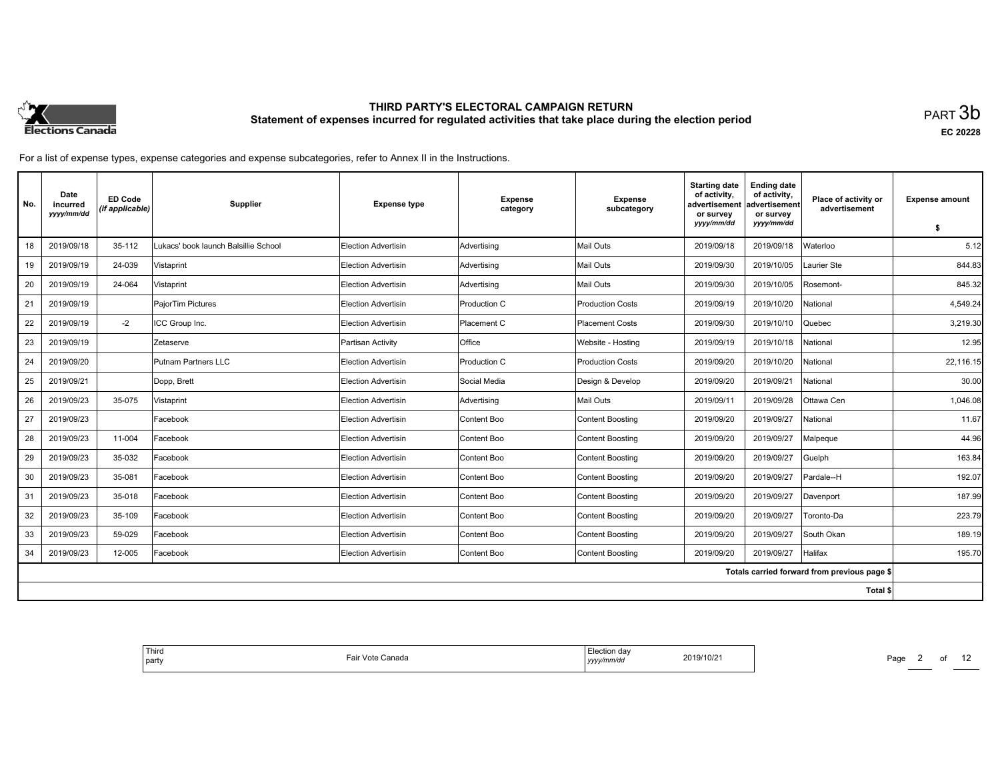

**EC 20228**

For a list of expense types, expense categories and expense subcategories, refer to Annex II in the Instructions.

| No. | Date<br>incurred<br>yyyy/mm/dd | <b>ED Code</b><br>(if applicable) | Supplier                             | <b>Expense type</b>        | <b>Expense</b><br>category | <b>Expense</b><br>subcategory | <b>Starting date</b><br>of activity.<br>advertisement<br>or survey<br>yyyy/mm/dd | <b>Ending date</b><br>of activity,<br>advertisement<br>or survey<br>yyyy/mm/dd | Place of activity or<br>advertisement        | <b>Expense amount</b> |
|-----|--------------------------------|-----------------------------------|--------------------------------------|----------------------------|----------------------------|-------------------------------|----------------------------------------------------------------------------------|--------------------------------------------------------------------------------|----------------------------------------------|-----------------------|
|     |                                |                                   |                                      |                            |                            |                               |                                                                                  |                                                                                |                                              | S.                    |
| 18  | 2019/09/18                     | 35-112                            | Lukacs' book launch Balsillie School | <b>Election Advertisin</b> | Advertising                | Mail Outs                     | 2019/09/18                                                                       | 2019/09/18                                                                     | Waterloo                                     | 5.12                  |
| 19  | 2019/09/19                     | 24-039                            | Vistaprint                           | <b>Election Advertisin</b> | Advertising                | Mail Outs                     | 2019/09/30                                                                       | 2019/10/05                                                                     | Laurier Ste                                  | 844.83                |
| 20  | 2019/09/19                     | 24-064                            | Vistaprint                           | <b>Election Advertisin</b> | Advertising                | <b>Mail Outs</b>              | 2019/09/30                                                                       | 2019/10/05                                                                     | Rosemont-                                    | 845.32                |
| 21  | 2019/09/19                     |                                   | PajorTim Pictures                    | <b>Election Advertisin</b> | Production C               | <b>Production Costs</b>       | 2019/09/19                                                                       | 2019/10/20                                                                     | National                                     | 4,549.24              |
| 22  | 2019/09/19                     | $-2$                              | ICC Group Inc.                       | Election Advertisin        | Placement C                | <b>Placement Costs</b>        | 2019/09/30                                                                       | 2019/10/10                                                                     | Quebec                                       | 3.219.30              |
| 23  | 2019/09/19                     |                                   | Zetaserve                            | Partisan Activity          | <b>Office</b>              | Website - Hosting             | 2019/09/19                                                                       | 2019/10/18                                                                     | National                                     | 12.95                 |
| 24  | 2019/09/20                     |                                   | Putnam Partners LLC                  | <b>Election Advertisin</b> | Production C               | <b>Production Costs</b>       | 2019/09/20                                                                       | 2019/10/20                                                                     | National                                     | 22,116.15             |
| 25  | 2019/09/21                     |                                   | Dopp, Brett                          | Election Advertisin        | Social Media               | Design & Develop              | 2019/09/20                                                                       | 2019/09/21                                                                     | National                                     | 30.00                 |
| 26  | 2019/09/23                     | 35-075                            | Vistaprint                           | <b>Election Advertisin</b> | Advertising                | <b>Mail Outs</b>              | 2019/09/11                                                                       | 2019/09/28                                                                     | Ottawa Cen                                   | 1,046.08              |
| 27  | 2019/09/23                     |                                   | Facebook                             | <b>Election Advertisin</b> | Content Boo                | <b>Content Boosting</b>       | 2019/09/20                                                                       | 2019/09/27                                                                     | National                                     | 11.67                 |
| 28  | 2019/09/23                     | 11-004                            | Facebook                             | Election Advertisin        | Content Boo                | <b>Content Boosting</b>       | 2019/09/20                                                                       | 2019/09/27                                                                     | Malpeque                                     | 44.96                 |
| 29  | 2019/09/23                     | 35-032                            | Facebook                             | <b>Election Advertisin</b> | Content Boo                | <b>Content Boosting</b>       | 2019/09/20                                                                       | 2019/09/27                                                                     | Guelph                                       | 163.84                |
| 30  | 2019/09/23                     | 35-081                            | Facebook                             | <b>Election Advertisin</b> | Content Boo                | <b>Content Boosting</b>       | 2019/09/20                                                                       | 2019/09/27                                                                     | Pardale--H                                   | 192.07                |
| 31  | 2019/09/23                     | 35-018                            | Facebook                             | Election Advertisin        | Content Boo                | <b>Content Boosting</b>       | 2019/09/20                                                                       | 2019/09/27                                                                     | Davenport                                    | 187.99                |
| 32  | 2019/09/23                     | 35-109                            | Facebook                             | Election Advertisin        | Content Boo                | <b>Content Boosting</b>       | 2019/09/20                                                                       | 2019/09/27                                                                     | Toronto-Da                                   | 223.79                |
| 33  | 2019/09/23                     | 59-029                            | Facebook                             | Election Advertisin        | Content Boo                | <b>Content Boosting</b>       | 2019/09/20                                                                       | 2019/09/27                                                                     | South Okan                                   | 189.19                |
| 34  | 2019/09/23                     | 12-005                            | Facebook                             | Election Advertisin        | Content Boo                | <b>Content Boosting</b>       | 2019/09/20                                                                       | 2019/09/27                                                                     | Halifax                                      | 195.70                |
|     |                                |                                   |                                      |                            |                            |                               |                                                                                  |                                                                                | Totals carried forward from previous page \$ |                       |
|     |                                |                                   |                                      |                            |                            |                               |                                                                                  |                                                                                | Total \$                                     |                       |

| dov<br>.<br>гчат<br>2019/10/21<br>v/mm/dc<br>  ソソソソ | . Vote '<br>$\sim$<br>: Canada<br>'dll |
|-----------------------------------------------------|----------------------------------------|
|-----------------------------------------------------|----------------------------------------|

Page 2 of 12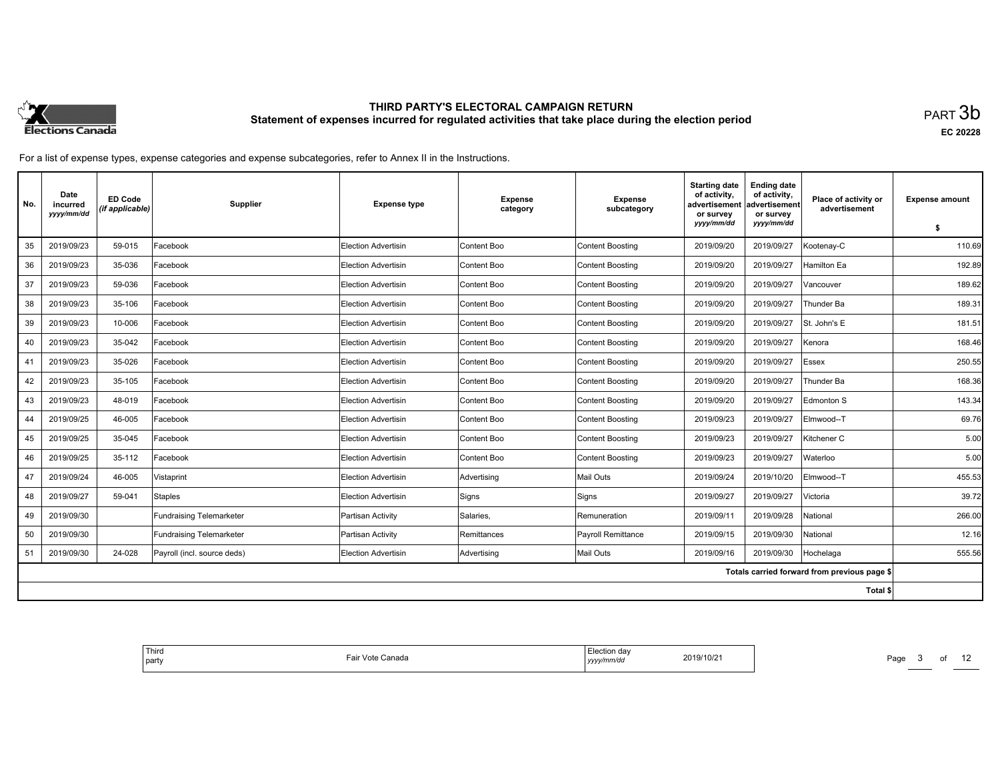

**EC 20228**

| No. | Date<br>incurred<br>yyyy/mm/dd | <b>ED Code</b><br>(if applicable) | Supplier                    | <b>Expense type</b>        | <b>Expense</b><br>category | <b>Expense</b><br>subcategory | <b>Starting date</b><br>of activity,<br>advertisement<br>or survey | <b>Ending date</b><br>of activity,<br>advertisement<br>or survey | Place of activity or<br>advertisement        | <b>Expense amount</b> |
|-----|--------------------------------|-----------------------------------|-----------------------------|----------------------------|----------------------------|-------------------------------|--------------------------------------------------------------------|------------------------------------------------------------------|----------------------------------------------|-----------------------|
|     |                                |                                   |                             |                            |                            |                               | yyyy/mm/dd                                                         | yyyy/mm/dd                                                       |                                              | \$                    |
| 35  | 2019/09/23                     | 59-015                            | Facebook                    | Election Advertisin        | Content Boo                | <b>Content Boosting</b>       | 2019/09/20                                                         | 2019/09/27                                                       | Kootenay-C                                   | 110.69                |
| 36  | 2019/09/23                     | 35-036                            | Facebook                    | <b>Election Advertisin</b> | Content Boo                | <b>Content Boosting</b>       | 2019/09/20                                                         | 2019/09/27                                                       | Hamilton Ea                                  | 192.89                |
| 37  | 2019/09/23                     | 59-036                            | Facebook                    | Election Advertisin        | Content Boo                | <b>Content Boosting</b>       | 2019/09/20                                                         | 2019/09/27                                                       | Vancouver                                    | 189.62                |
| 38  | 2019/09/23                     | 35-106                            | Facebook                    | <b>Election Advertisin</b> | Content Boo                | <b>Content Boosting</b>       | 2019/09/20                                                         | 2019/09/27                                                       | Thunder Ba                                   | 189.31                |
| 39  | 2019/09/23                     | 10-006                            | Facebook                    | Election Advertisin        | Content Boo                | <b>Content Boosting</b>       | 2019/09/20                                                         | 2019/09/27                                                       | St. John's E                                 | 181.51                |
| 40  | 2019/09/23                     | 35-042                            | Facebook                    | Election Advertisin        | Content Boo                | <b>Content Boosting</b>       | 2019/09/20                                                         | 2019/09/27                                                       | Kenora                                       | 168.46                |
| 41  | 2019/09/23                     | 35-026                            | Facebook                    | Election Advertisin        | Content Boo                | <b>Content Boosting</b>       | 2019/09/20                                                         | 2019/09/27                                                       | <b>Essex</b>                                 | 250.55                |
| 42  | 2019/09/23                     | 35-105                            | Facebook                    | Election Advertisin        | Content Boo                | <b>Content Boosting</b>       | 2019/09/20                                                         | 2019/09/27                                                       | Thunder Ba                                   | 168.36                |
| 43  | 2019/09/23                     | 48-019                            | Facebook                    | Election Advertisin        | Content Boo                | <b>Content Boosting</b>       | 2019/09/20                                                         | 2019/09/27                                                       | Edmonton S                                   | 143.34                |
| 44  | 2019/09/25                     | 46-005                            | Facebook                    | <b>Election Advertisin</b> | Content Boo                | <b>Content Boosting</b>       | 2019/09/23                                                         | 2019/09/27                                                       | Elmwood--T                                   | 69.76                 |
| 45  | 2019/09/25                     | 35-045                            | Facebook                    | <b>Election Advertisin</b> | Content Boo                | <b>Content Boosting</b>       | 2019/09/23                                                         | 2019/09/27                                                       | Kitchener C                                  | 5.00                  |
| 46  | 2019/09/25                     | 35-112                            | Facebook                    | <b>Election Advertisin</b> | Content Boo                | <b>Content Boosting</b>       | 2019/09/23                                                         | 2019/09/27                                                       | Waterloo                                     | 5.00                  |
| 47  | 2019/09/24                     | 46-005                            | Vistaprint                  | <b>Election Advertisin</b> | Advertising                | Mail Outs                     | 2019/09/24                                                         | 2019/10/20                                                       | Elmwood--T                                   | 455.53                |
| 48  | 2019/09/27                     | 59-041                            | Staples                     | <b>Election Advertisin</b> | Signs                      | Signs                         | 2019/09/27                                                         | 2019/09/27                                                       | Victoria                                     | 39.72                 |
| 49  | 2019/09/30                     |                                   | Fundraising Telemarketer    | Partisan Activity          | Salaries,                  | Remuneration                  | 2019/09/11                                                         | 2019/09/28                                                       | National                                     | 266.00                |
| 50  | 2019/09/30                     |                                   | Fundraising Telemarketer    | Partisan Activity          | Remittances                | <b>Payroll Remittance</b>     | 2019/09/15                                                         | 2019/09/30                                                       | National                                     | 12.16                 |
| 51  | 2019/09/30                     | 24-028                            | Payroll (incl. source deds) | Election Advertisin        | Advertising                | Mail Outs                     | 2019/09/16                                                         | 2019/09/30                                                       | Hochelaga                                    | 555.56                |
|     |                                |                                   |                             |                            |                            |                               |                                                                    |                                                                  | Totals carried forward from previous page \$ |                       |
|     |                                |                                   |                             |                            |                            |                               |                                                                    |                                                                  | Total \$                                     |                       |

| un dav<br>2019/10/2<br>19/10/21<br>ΞU<br>√mm⁄do<br>. | nada<br>o<br>. |
|------------------------------------------------------|----------------|
|------------------------------------------------------|----------------|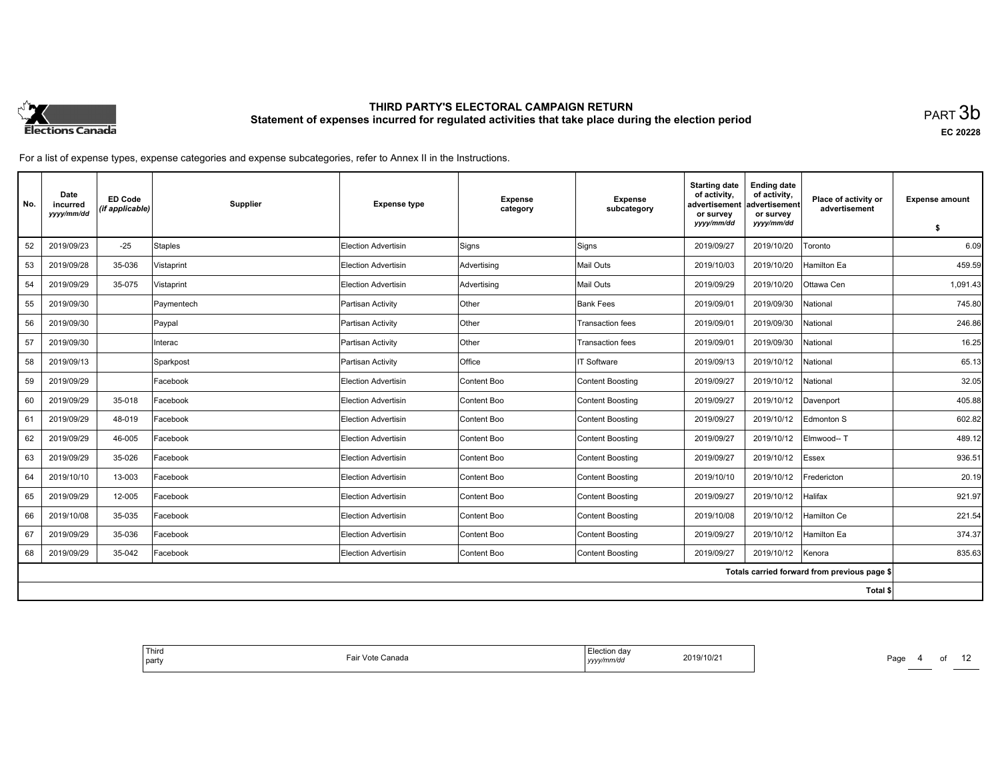

**EC 20228**

For a list of expense types, expense categories and expense subcategories, refer to Annex II in the Instructions.

| No. | Date<br>incurred<br>yyyy/mm/dd | <b>ED Code</b><br>(if applicable) | Supplier   | <b>Expense type</b>        | <b>Expense</b><br>category | <b>Expense</b><br>subcategory | <b>Starting date</b><br>of activity.<br>advertisement<br>or survey | <b>Ending date</b><br>of activity,<br>advertisement<br>or survey | Place of activity or<br>advertisement        | <b>Expense amount</b> |
|-----|--------------------------------|-----------------------------------|------------|----------------------------|----------------------------|-------------------------------|--------------------------------------------------------------------|------------------------------------------------------------------|----------------------------------------------|-----------------------|
|     |                                |                                   |            |                            |                            |                               | yyyy/mm/dd                                                         | yyyy/mm/dd                                                       |                                              | \$                    |
| 52  | 2019/09/23                     | $-25$                             | Staples    | Election Advertisin        | Signs                      | Signs                         | 2019/09/27                                                         | 2019/10/20                                                       | Toronto                                      | 6.09                  |
| 53  | 2019/09/28                     | 35-036                            | Vistaprint | Election Advertisin        | Advertising                | <b>Mail Outs</b>              | 2019/10/03                                                         | 2019/10/20                                                       | <b>Hamilton Ea</b>                           | 459.59                |
| 54  | 2019/09/29                     | 35-075                            | Vistaprint | Election Advertisin        | Advertising                | Mail Outs                     | 2019/09/29                                                         | 2019/10/20                                                       | Ottawa Cen                                   | 1.091.43              |
| 55  | 2019/09/30                     |                                   | Paymentech | Partisan Activity          | Other                      | <b>Bank Fees</b>              | 2019/09/01                                                         | 2019/09/30                                                       | National                                     | 745.80                |
| 56  | 2019/09/30                     |                                   | Paypal     | Partisan Activity          | Other                      | <b>Transaction fees</b>       | 2019/09/01                                                         | 2019/09/30                                                       | National                                     | 246.86                |
| 57  | 2019/09/30                     |                                   | Interac    | Partisan Activity          | Other                      | <b>Transaction fees</b>       | 2019/09/01                                                         | 2019/09/30                                                       | National                                     | 16.25                 |
| 58  | 2019/09/13                     |                                   | Sparkpost  | Partisan Activity          | Office                     | IT Software                   | 2019/09/13                                                         | 2019/10/12                                                       | National                                     | 65.13                 |
| 59  | 2019/09/29                     |                                   | Facebook   | Election Advertisin        | Content Boo                | <b>Content Boosting</b>       | 2019/09/27                                                         | 2019/10/12                                                       | National                                     | 32.05                 |
| 60  | 2019/09/29                     | 35-018                            | Facebook   | Election Advertisin        | Content Boo                | <b>Content Boosting</b>       | 2019/09/27                                                         | 2019/10/12                                                       | Davenport                                    | 405.88                |
| 61  | 2019/09/29                     | 48-019                            | Facebook   | <b>Election Advertisin</b> | Content Boo                | <b>Content Boosting</b>       | 2019/09/27                                                         | 2019/10/12                                                       | Edmonton S                                   | 602.82                |
| 62  | 2019/09/29                     | 46-005                            | Facebook   | Election Advertisin        | Content Boo                | <b>Content Boosting</b>       | 2019/09/27                                                         | 2019/10/12                                                       | Elmwood-- T                                  | 489.12                |
| 63  | 2019/09/29                     | 35-026                            | Facebook   | <b>Election Advertisin</b> | Content Boo                | <b>Content Boosting</b>       | 2019/09/27                                                         | 2019/10/12                                                       | <b>Essex</b>                                 | 936.51                |
| 64  | 2019/10/10                     | 13-003                            | Facebook   | Election Advertisin        | Content Boo                | <b>Content Boosting</b>       | 2019/10/10                                                         | 2019/10/12                                                       | Fredericton                                  | 20.19                 |
| 65  | 2019/09/29                     | 12-005                            | Facebook   | Election Advertisin        | Content Boo                | <b>Content Boosting</b>       | 2019/09/27                                                         | 2019/10/12                                                       | Halifax                                      | 921.97                |
| 66  | 2019/10/08                     | 35-035                            | Facebook   | Election Advertisin        | Content Boo                | <b>Content Boosting</b>       | 2019/10/08                                                         | 2019/10/12                                                       | Hamilton Ce                                  | 221.54                |
| 67  | 2019/09/29                     | 35-036                            | Facebook   | Election Advertisin        | Content Boo                | <b>Content Boosting</b>       | 2019/09/27                                                         | 2019/10/12                                                       | <b>Hamilton Ea</b>                           | 374.37                |
| 68  | 2019/09/29                     | 35-042                            | Facebook   | <b>Election Advertisin</b> | Content Boo                | <b>Content Boosting</b>       | 2019/09/27                                                         | 2019/10/12                                                       | Kenora                                       | 835.63                |
|     |                                |                                   |            |                            |                            |                               |                                                                    |                                                                  | Totals carried forward from previous page \$ |                       |
|     |                                |                                   |            |                            |                            |                               |                                                                    |                                                                  | Total \$                                     |                       |

| Election dav<br>2019/10/21<br>Fair Vote Canada<br>$\cdots$<br>:/mm/da<br>yyyy/r |
|---------------------------------------------------------------------------------|
|---------------------------------------------------------------------------------|

Page 4 of 12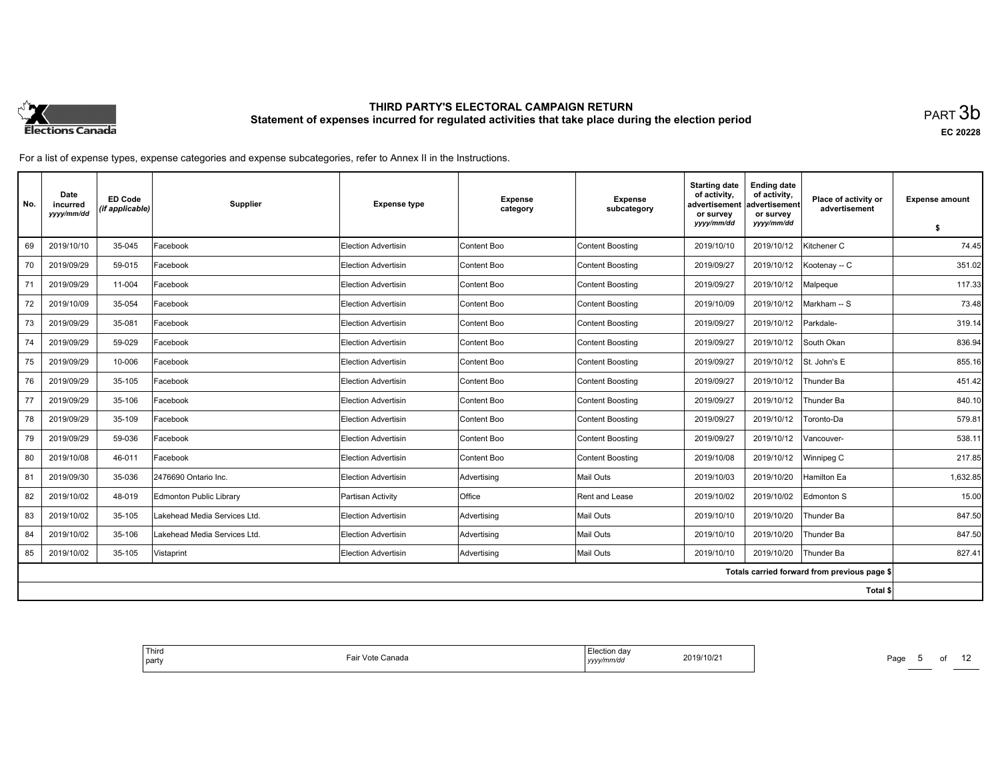

**EC 20228**

For a list of expense types, expense categories and expense subcategories, refer to Annex II in the Instructions.

| No. | Date<br>incurred<br>yyyy/mm/dd | <b>ED Code</b><br>(if applicable) | Supplier                     | <b>Expense type</b>        | <b>Expense</b><br>category | <b>Expense</b><br>subcategory | <b>Starting date</b><br>of activity,<br>advertisement<br>or survey<br>yyyy/mm/dd | <b>Ending date</b><br>of activity,<br>advertisement<br>or survey<br>yyyy/mm/dd | Place of activity or<br>advertisement        | <b>Expense amount</b> |
|-----|--------------------------------|-----------------------------------|------------------------------|----------------------------|----------------------------|-------------------------------|----------------------------------------------------------------------------------|--------------------------------------------------------------------------------|----------------------------------------------|-----------------------|
|     |                                |                                   |                              |                            |                            |                               |                                                                                  |                                                                                |                                              | \$                    |
| 69  | 2019/10/10                     | 35-045                            | Facebook                     | <b>Election Advertisin</b> | Content Boo                | <b>Content Boosting</b>       | 2019/10/10                                                                       | 2019/10/12                                                                     | Kitchener C                                  | 74.45                 |
| 70  | 2019/09/29                     | 59-015                            | Facebook                     | Election Advertisin        | Content Boo                | <b>Content Boosting</b>       | 2019/09/27                                                                       | 2019/10/12                                                                     | Kootenay -- C                                | 351.02                |
| 71  | 2019/09/29                     | 11-004                            | Facebook                     | Election Advertisin        | Content Boo                | <b>Content Boosting</b>       | 2019/09/27                                                                       | 2019/10/12                                                                     | Malpeque                                     | 117.33                |
| 72  | 2019/10/09                     | 35-054                            | Facebook                     | <b>Election Advertisin</b> | Content Boo                | Content Boosting              | 2019/10/09                                                                       | 2019/10/12                                                                     | Markham -- S                                 | 73.48                 |
| 73  | 2019/09/29                     | 35-081                            | Facebook                     | Election Advertisin        | Content Boo                | Content Boosting              | 2019/09/27                                                                       | 2019/10/12                                                                     | Parkdale-                                    | 319.14                |
| 74  | 2019/09/29                     | 59-029                            | Facebook                     | Election Advertisin        | Content Boo                | Content Boosting              | 2019/09/27                                                                       | 2019/10/12                                                                     | South Okan                                   | 836.94                |
| 75  | 2019/09/29                     | 10-006                            | Facebook                     | <b>Election Advertisin</b> | Content Boo                | Content Boosting              | 2019/09/27                                                                       | 2019/10/12                                                                     | St. John's E                                 | 855.16                |
| 76  | 2019/09/29                     | 35-105                            | Facebook                     | Election Advertisin        | Content Boo                | <b>Content Boosting</b>       | 2019/09/27                                                                       | 2019/10/12                                                                     | Thunder Ba                                   | 451.42                |
| 77  | 2019/09/29                     | 35-106                            | Facebook                     | Election Advertisin        | Content Boo                | <b>Content Boosting</b>       | 2019/09/27                                                                       | 2019/10/12                                                                     | Thunder Ba                                   | 840.10                |
| 78  | 2019/09/29                     | 35-109                            | Facebook                     | <b>Election Advertisin</b> | Content Boo                | Content Boosting              | 2019/09/27                                                                       | 2019/10/12                                                                     | Toronto-Da                                   | 579.81                |
| 79  | 2019/09/29                     | 59-036                            | Facebook                     | Election Advertisin        | Content Boo                | <b>Content Boosting</b>       | 2019/09/27                                                                       | 2019/10/12                                                                     | Vancouver-                                   | 538.11                |
| 80  | 2019/10/08                     | 46-011                            | Facebook                     | Election Advertisin        | Content Boo                | Content Boosting              | 2019/10/08                                                                       | 2019/10/12                                                                     | Winnipeg C                                   | 217.85                |
| 81  | 2019/09/30                     | 35-036                            | 2476690 Ontario Inc.         | <b>Election Advertisin</b> | Advertising                | Mail Outs                     | 2019/10/03                                                                       | 2019/10/20                                                                     | Hamilton Ea                                  | 1,632.85              |
| 82  | 2019/10/02                     | 48-019                            | Edmonton Public Library      | Partisan Activity          | Office                     | Rent and Lease                | 2019/10/02                                                                       | 2019/10/02                                                                     | Edmonton S                                   | 15.00                 |
| 83  | 2019/10/02                     | 35-105                            | Lakehead Media Services Ltd. | <b>Election Advertisin</b> | Advertising                | Mail Outs                     | 2019/10/10                                                                       | 2019/10/20                                                                     | Thunder Ba                                   | 847.50                |
| 84  | 2019/10/02                     | 35-106                            | Lakehead Media Services Ltd. | Election Advertisin        | Advertising                | Mail Outs                     | 2019/10/10                                                                       | 2019/10/20                                                                     | Thunder Ba                                   | 847.50                |
| 85  | 2019/10/02                     | 35-105                            | Vistaprint                   | <b>Election Advertisin</b> | Advertising                | Mail Outs                     | 2019/10/10                                                                       | 2019/10/20                                                                     | Thunder Ba                                   | 827.41                |
|     |                                |                                   |                              |                            |                            |                               |                                                                                  |                                                                                | Totals carried forward from previous page \$ |                       |
|     |                                |                                   |                              |                            |                            |                               |                                                                                  |                                                                                | Total \$                                     |                       |

| 2019/10/21 |  |
|------------|--|
|------------|--|

Page 5 of 12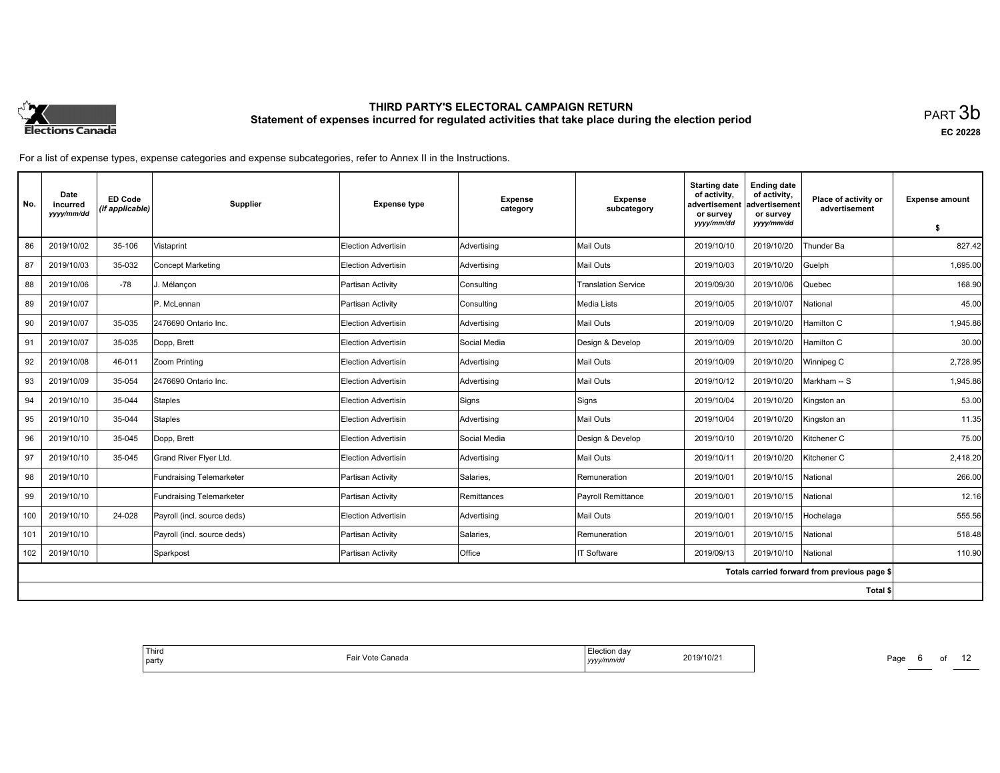

**EC 20228**

For a list of expense types, expense categories and expense subcategories, refer to Annex II in the Instructions.

| No.                                          | Date<br>incurred<br>yyyy/mm/dd | <b>ED Code</b><br>(if applicable) | Supplier                        | <b>Expense type</b>        | <b>Expense</b><br>category | <b>Expense</b><br>subcategory | <b>Starting date</b><br>of activity.<br>advertisement<br>or survey | <b>Ending date</b><br>of activity,<br>advertisement<br>or survey | Place of activity or<br>advertisement | <b>Expense amount</b> |
|----------------------------------------------|--------------------------------|-----------------------------------|---------------------------------|----------------------------|----------------------------|-------------------------------|--------------------------------------------------------------------|------------------------------------------------------------------|---------------------------------------|-----------------------|
|                                              |                                |                                   |                                 |                            |                            |                               | yyyy/mm/dd                                                         | yyyy/mm/dd                                                       |                                       | \$                    |
| 86                                           | 2019/10/02                     | 35-106                            | Vistaprint                      | Election Advertisin        | Advertising                | Mail Outs                     | 2019/10/10                                                         | 2019/10/20                                                       | Thunder Ba                            | 827.42                |
| 87                                           | 2019/10/03                     | 35-032                            | <b>Concept Marketing</b>        | Election Advertisin        | Advertising                | Mail Outs                     | 2019/10/03                                                         | 2019/10/20                                                       | Guelph                                | 1.695.00              |
| 88                                           | 2019/10/06                     | $-78$                             | J. Mélancon                     | Partisan Activity          | Consulting                 | <b>Translation Service</b>    | 2019/09/30                                                         | 2019/10/06                                                       | Quebec                                | 168.90                |
| 89                                           | 2019/10/07                     |                                   | P. McLennan                     | Partisan Activity          | Consulting                 | Media Lists                   | 2019/10/05                                                         | 2019/10/07                                                       | National                              | 45.00                 |
| 90                                           | 2019/10/07                     | 35-035                            | 2476690 Ontario Inc.            | <b>Election Advertisin</b> | Advertising                | Mail Outs                     | 2019/10/09                                                         | 2019/10/20                                                       | Hamilton C                            | 1,945.86              |
| 91                                           | 2019/10/07                     | 35-035                            | Dopp, Brett                     | <b>Election Advertisin</b> | Social Media               | Design & Develop              | 2019/10/09                                                         | 2019/10/20                                                       | Hamilton C                            | 30.00                 |
| 92                                           | 2019/10/08                     | 46-011                            | Zoom Printing                   | Election Advertisin        | Advertising                | Mail Outs                     | 2019/10/09                                                         | 2019/10/20                                                       | Winnipeg C                            | 2,728.95              |
| 93                                           | 2019/10/09                     | 35-054                            | 2476690 Ontario Inc.            | <b>Election Advertisin</b> | Advertising                | Mail Outs                     | 2019/10/12                                                         | 2019/10/20                                                       | Markham -- S                          | 1,945.86              |
| 94                                           | 2019/10/10                     | 35-044                            | <b>Staples</b>                  | <b>Election Advertisin</b> | Signs                      | Signs                         | 2019/10/04                                                         | 2019/10/20                                                       | Kingston an                           | 53.00                 |
| 95                                           | 2019/10/10                     | 35-044                            | <b>Staples</b>                  | Election Advertisin        | Advertising                | Mail Outs                     | 2019/10/04                                                         | 2019/10/20                                                       | Kingston an                           | 11.35                 |
| 96                                           | 2019/10/10                     | 35-045                            | Dopp, Brett                     | <b>Election Advertisin</b> | Social Media               | Design & Develop              | 2019/10/10                                                         | 2019/10/20                                                       | Kitchener C                           | 75.00                 |
| 97                                           | 2019/10/10                     | 35-045                            | Grand River Flyer Ltd.          | <b>Election Advertisin</b> | Advertising                | Mail Outs                     | 2019/10/11                                                         | 2019/10/20                                                       | Kitchener C                           | 2,418.20              |
| 98                                           | 2019/10/10                     |                                   | <b>Fundraising Telemarketer</b> | Partisan Activity          | Salaries,                  | Remuneration                  | 2019/10/01                                                         | 2019/10/15                                                       | National                              | 266.00                |
| 99                                           | 2019/10/10                     |                                   | <b>Fundraising Telemarketer</b> | Partisan Activity          | Remittances                | Payroll Remittance            | 2019/10/01                                                         | 2019/10/15                                                       | National                              | 12.16                 |
| 100                                          | 2019/10/10                     | 24-028                            | Payroll (incl. source deds)     | <b>Election Advertisin</b> | Advertising                | Mail Outs                     | 2019/10/01                                                         | 2019/10/15                                                       | Hochelaga                             | 555.56                |
| 101                                          | 2019/10/10                     |                                   | Payroll (incl. source deds)     | Partisan Activity          | Salaries,                  | Remuneration                  | 2019/10/01                                                         | 2019/10/15                                                       | National                              | 518.48                |
| 102                                          | 2019/10/10                     |                                   | Sparkpost                       | Partisan Activity          | Office                     | IT Software                   | 2019/09/13                                                         | 2019/10/10                                                       | National                              | 110.90                |
| Totals carried forward from previous page \$ |                                |                                   |                                 |                            |                            |                               |                                                                    |                                                                  |                                       |                       |
|                                              |                                |                                   |                                 |                            |                            |                               |                                                                    |                                                                  | Total \$                              |                       |

| $n \wedge n$<br>da\<br>2019/10/2<br><i>wmm</i> /au<br>.,,,, | <b>Lo</b><br>Canada<br>Vote<br>'dll<br>. |
|-------------------------------------------------------------|------------------------------------------|
|-------------------------------------------------------------|------------------------------------------|

Page 6 of 12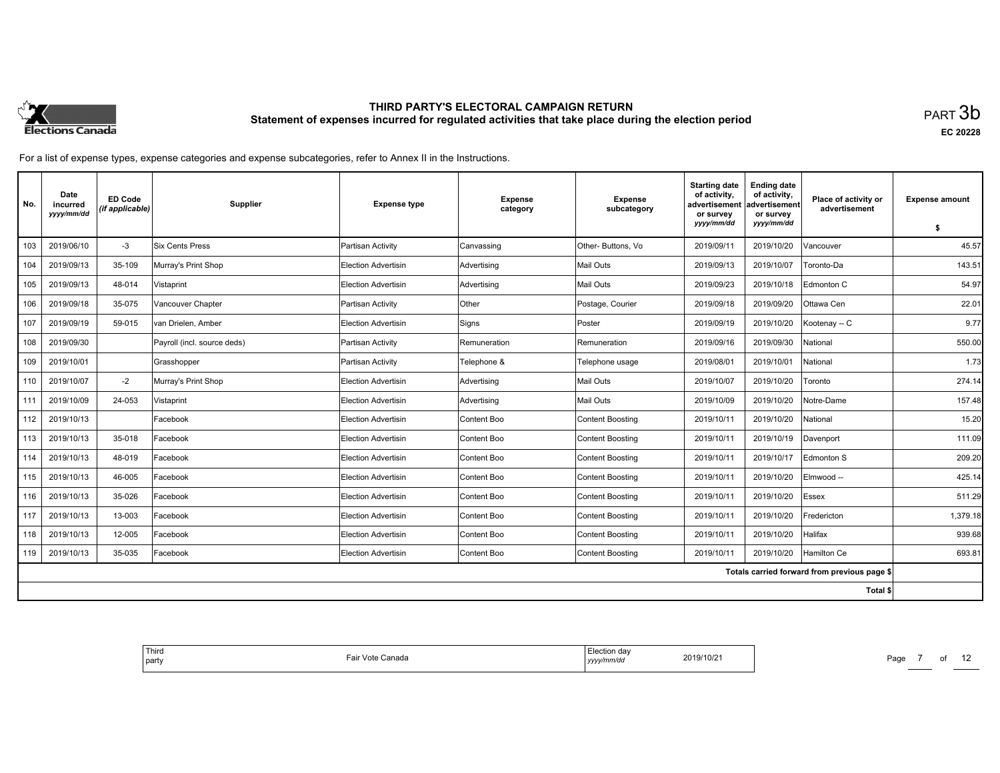

**EC 20228**

For a list of expense types, expense categories and expense subcategories, refer to Annex II in the Instructions.

| No.                                          | Date<br>incurred<br>yyyy/mm/dd | <b>ED Code</b><br>(if applicable) | Supplier                    | <b>Expense type</b>        | <b>Expense</b><br>category | <b>Expense</b><br>subcategory | <b>Starting date</b><br>of activity.<br>advertisement<br>or survey<br>yyyy/mm/dd | <b>Ending date</b><br>of activity,<br>ladvertisement<br>or survey<br>yyyy/mm/dd | Place of activity or<br>advertisement | <b>Expense amount</b> |
|----------------------------------------------|--------------------------------|-----------------------------------|-----------------------------|----------------------------|----------------------------|-------------------------------|----------------------------------------------------------------------------------|---------------------------------------------------------------------------------|---------------------------------------|-----------------------|
|                                              |                                |                                   |                             |                            |                            |                               |                                                                                  |                                                                                 |                                       | S.                    |
| 103                                          | 2019/06/10                     | $-3$                              | Six Cents Press             | Partisan Activity          | Canvassing                 | Other-Buttons, Vo             | 2019/09/11                                                                       | 2019/10/20                                                                      | Vancouver                             | 45.57                 |
| 104                                          | 2019/09/13                     | 35-109                            | Murray's Print Shop         | <b>Election Advertisin</b> | Advertising                | <b>Mail Outs</b>              | 2019/09/13                                                                       | 2019/10/07                                                                      | Toronto-Da                            | 143.51                |
| 105                                          | 2019/09/13                     | 48-014                            | Vistaprint                  | Election Advertisin        | Advertising                | Mail Outs                     | 2019/09/23                                                                       | 2019/10/18                                                                      | Edmonton C                            | 54.97                 |
| 106                                          | 2019/09/18                     | 35-075                            | Vancouver Chapter           | Partisan Activity          | Other                      | Postage, Courier              | 2019/09/18                                                                       | 2019/09/20                                                                      | Ottawa Cen                            | 22.01                 |
| 107                                          | 2019/09/19                     | 59-015                            | Ivan Drielen. Amber         | <b>Election Advertisin</b> | Signs                      | Poster                        | 2019/09/19                                                                       | 2019/10/20                                                                      | Kootenay -- C                         | 9.77                  |
| 108                                          | 2019/09/30                     |                                   | Payroll (incl. source deds) | Partisan Activity          | Remuneration               | Remuneration                  | 2019/09/16                                                                       | 2019/09/30                                                                      | National                              | 550.00                |
| 109                                          | 2019/10/01                     |                                   | Grasshopper                 | Partisan Activity          | Telephone &                | Telephone usage               | 2019/08/01                                                                       | 2019/10/01                                                                      | National                              | 1.73                  |
| 110                                          | 2019/10/07                     | $-2$                              | Murray's Print Shop         | Election Advertisin        | Advertising                | <b>Mail Outs</b>              | 2019/10/07                                                                       | 2019/10/20                                                                      | Toronto                               | 274.14                |
| 111                                          | 2019/10/09                     | 24-053                            | Vistaprint                  | Election Advertisin        | Advertising                | Mail Outs                     | 2019/10/09                                                                       | 2019/10/20                                                                      | Notre-Dame                            | 157.48                |
| 112                                          | 2019/10/13                     |                                   | Facebook                    | <b>Election Advertisin</b> | Content Boo                | <b>Content Boosting</b>       | 2019/10/11                                                                       | 2019/10/20                                                                      | National                              | 15.20                 |
| 113                                          | 2019/10/13                     | 35-018                            | Facebook                    | Election Advertisin        | Content Boo                | <b>Content Boosting</b>       | 2019/10/11                                                                       | 2019/10/19                                                                      | Davenport                             | 111.09                |
| 114                                          | 2019/10/13                     | 48-019                            | Facebook                    | Election Advertisin        | Content Boo                | <b>Content Boosting</b>       | 2019/10/11                                                                       | 2019/10/17                                                                      | Edmonton S                            | 209.20                |
| 115                                          | 2019/10/13                     | 46-005                            | Facebook                    | Election Advertisin        | Content Boo                | <b>Content Boosting</b>       | 2019/10/11                                                                       | 2019/10/20                                                                      | Elmwood --                            | 425.14                |
| 116                                          | 2019/10/13                     | 35-026                            | Facebook                    | <b>Election Advertisin</b> | Content Boo                | <b>Content Boosting</b>       | 2019/10/11                                                                       | 2019/10/20                                                                      | Essex                                 | 511.29                |
| 117                                          | 2019/10/13                     | 13-003                            | Facebook                    | Election Advertisin        | Content Boo                | <b>Content Boosting</b>       | 2019/10/11                                                                       | 2019/10/20                                                                      | Fredericton                           | 1,379.18              |
| 118                                          | 2019/10/13                     | 12-005                            | Facebook                    | <b>Election Advertisin</b> | Content Boo                | Content Boosting              | 2019/10/11                                                                       | 2019/10/20                                                                      | Halifax                               | 939.68                |
| 119                                          | 2019/10/13                     | 35-035                            | Facebook                    | <b>Election Advertisin</b> | Content Boo                | <b>Content Boosting</b>       | 2019/10/11                                                                       | 2019/10/20                                                                      | Hamilton Ce                           | 693.81                |
| Totals carried forward from previous page \$ |                                |                                   |                             |                            |                            |                               |                                                                                  |                                                                                 |                                       |                       |
|                                              |                                |                                   |                             |                            |                            |                               |                                                                                  |                                                                                 | Total \$                              |                       |

|--|

Page 7 of 12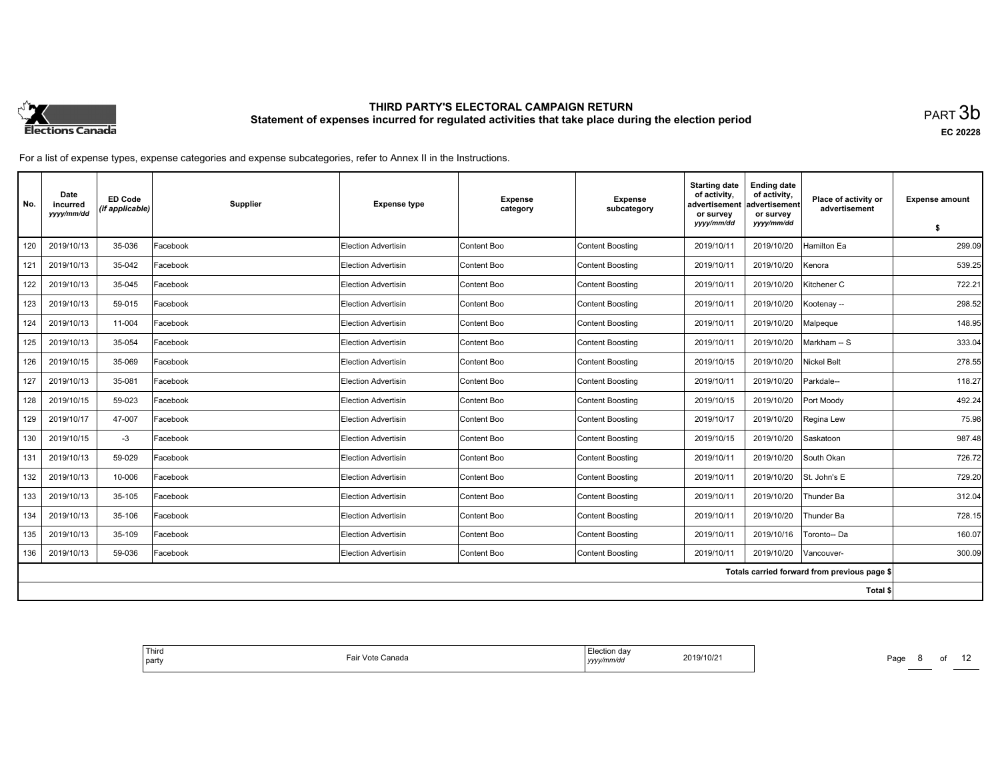

**EC 20228**

For a list of expense types, expense categories and expense subcategories, refer to Annex II in the Instructions.

| No.                                          | Date<br>incurred<br>yyyy/mm/dd | <b>ED Code</b><br>(if applicable) | Supplier | <b>Expense type</b>        | <b>Expense</b><br>category | <b>Expense</b><br>subcategory | <b>Starting date</b><br>of activity.<br>advertisement<br>or survey | <b>Ending date</b><br>of activity,<br>advertisement<br>or survey | Place of activity or<br>advertisement | <b>Expense amount</b> |
|----------------------------------------------|--------------------------------|-----------------------------------|----------|----------------------------|----------------------------|-------------------------------|--------------------------------------------------------------------|------------------------------------------------------------------|---------------------------------------|-----------------------|
|                                              |                                |                                   |          |                            |                            |                               | yyyy/mm/dd                                                         | yyyy/mm/dd                                                       |                                       | \$                    |
| 120                                          | 2019/10/13                     | 35-036                            | Facebook | Election Advertisin        | Content Boo                | <b>Content Boosting</b>       | 2019/10/11                                                         | 2019/10/20                                                       | Hamilton Ea                           | 299.09                |
| 121                                          | 2019/10/13                     | 35-042                            | Facebook | Election Advertisin        | Content Boo                | <b>Content Boosting</b>       | 2019/10/11                                                         | 2019/10/20                                                       | Kenora                                | 539.25                |
| 122                                          | 2019/10/13                     | 35-045                            | Facebook | Election Advertisin        | Content Boo                | <b>Content Boosting</b>       | 2019/10/11                                                         | 2019/10/20                                                       | Kitchener C                           | 722.21                |
| 123                                          | 2019/10/13                     | 59-015                            | Facebook | <b>Election Advertisin</b> | Content Boo                | <b>Content Boosting</b>       | 2019/10/11                                                         | 2019/10/20                                                       | Kootenay-                             | 298.52                |
| 124                                          | 2019/10/13                     | 11-004                            | Facebook | <b>Election Advertisin</b> | Content Boo                | <b>Content Boosting</b>       | 2019/10/11                                                         | 2019/10/20                                                       | Malpeque                              | 148.95                |
| 125                                          | 2019/10/13                     | 35-054                            | Facebook | Election Advertisin        | Content Boo                | <b>Content Boosting</b>       | 2019/10/11                                                         | 2019/10/20                                                       | Markham -- S                          | 333.04                |
| 126                                          | 2019/10/15                     | 35-069                            | Facebook | <b>Election Advertisin</b> | Content Boo                | <b>Content Boosting</b>       | 2019/10/15                                                         | 2019/10/20                                                       | <b>Nickel Belt</b>                    | 278.55                |
| 127                                          | 2019/10/13                     | 35-081                            | Facebook | Election Advertisin        | Content Boo                | <b>Content Boosting</b>       | 2019/10/11                                                         | 2019/10/20                                                       | Parkdale--                            | 118.27                |
| 128                                          | 2019/10/15                     | 59-023                            | Facebook | Election Advertisin        | Content Boo                | <b>Content Boosting</b>       | 2019/10/15                                                         | 2019/10/20                                                       | Port Moody                            | 492.24                |
| 129                                          | 2019/10/17                     | 47-007                            | Facebook | <b>Election Advertisin</b> | Content Boo                | <b>Content Boosting</b>       | 2019/10/17                                                         | 2019/10/20                                                       | Regina Lew                            | 75.98                 |
| 130                                          | 2019/10/15                     | $-3$                              | Facebook | Election Advertisin        | Content Boo                | <b>Content Boosting</b>       | 2019/10/15                                                         | 2019/10/20                                                       | Saskatoon                             | 987.48                |
| 131                                          | 2019/10/13                     | 59-029                            | Facebook | <b>Election Advertisin</b> | Content Boo                | <b>Content Boosting</b>       | 2019/10/11                                                         | 2019/10/20                                                       | South Okan                            | 726.72                |
| 132                                          | 2019/10/13                     | 10-006                            | Facebook | <b>Election Advertisin</b> | Content Boo                | <b>Content Boosting</b>       | 2019/10/11                                                         | 2019/10/20                                                       | St. John's E                          | 729.20                |
| 133                                          | 2019/10/13                     | 35-105                            | Facebook | Election Advertisin        | Content Boo                | <b>Content Boosting</b>       | 2019/10/11                                                         | 2019/10/20                                                       | Thunder Ba                            | 312.04                |
| 134                                          | 2019/10/13                     | 35-106                            | Facebook | <b>Election Advertisin</b> | Content Boo                | <b>Content Boosting</b>       | 2019/10/11                                                         | 2019/10/20                                                       | Thunder Ba                            | 728.15                |
| 135                                          | 2019/10/13                     | 35-109                            | Facebook | Election Advertisin        | Content Boo                | <b>Content Boosting</b>       | 2019/10/11                                                         | 2019/10/16                                                       | Toronto-- Da                          | 160.07                |
| 136                                          | 2019/10/13                     | 59-036                            | Facebook | <b>Election Advertisin</b> | Content Boo                | <b>Content Boosting</b>       | 2019/10/11                                                         | 2019/10/20                                                       | Vancouver-                            | 300.09                |
| Totals carried forward from previous page \$ |                                |                                   |          |                            |                            |                               |                                                                    |                                                                  |                                       |                       |
|                                              |                                |                                   |          |                            |                            |                               |                                                                    |                                                                  | Total \$                              |                       |

| <sup>l</sup> Third<br>⊟ectior<br>on dav<br>2019/10/2<br>.<br>-ai<br>Vote<br>Canada<br>.<br><i>i</i> party<br>, yyyy/mm/dd |
|---------------------------------------------------------------------------------------------------------------------------|
|---------------------------------------------------------------------------------------------------------------------------|

Page 8 of 12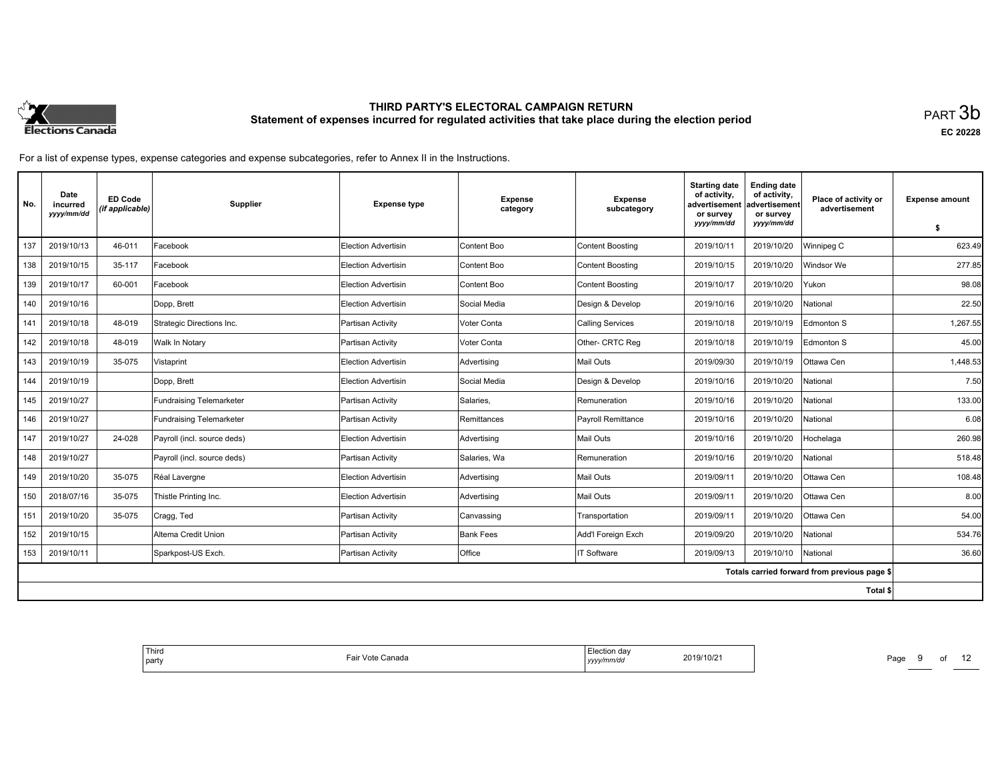

**EC 20228**

For a list of expense types, expense categories and expense subcategories, refer to Annex II in the Instructions.

| No.                                          | Date<br>incurred<br>yyyy/mm/dd | <b>ED Code</b><br>(if applicable) | Supplier                    | <b>Expense type</b>        | <b>Expense</b><br>category | <b>Expense</b><br>subcategory | <b>Starting date</b><br>of activity.<br>advertisement<br>or survey<br>yyyy/mm/dd | <b>Ending date</b><br>of activity,<br>advertisement<br>or survey<br>yyyy/mm/dd | Place of activity or<br>advertisement | <b>Expense amount</b> |
|----------------------------------------------|--------------------------------|-----------------------------------|-----------------------------|----------------------------|----------------------------|-------------------------------|----------------------------------------------------------------------------------|--------------------------------------------------------------------------------|---------------------------------------|-----------------------|
|                                              |                                |                                   |                             |                            |                            |                               |                                                                                  |                                                                                |                                       | S.                    |
| 137                                          | 2019/10/13                     | 46-011                            | Facebook                    | <b>Election Advertisin</b> | Content Boo                | <b>Content Boosting</b>       | 2019/10/11                                                                       | 2019/10/20                                                                     | Winnipeg C                            | 623.49                |
| 138                                          | 2019/10/15                     | 35-117                            | Facebook                    | <b>Election Advertisin</b> | Content Boo                | <b>Content Boosting</b>       | 2019/10/15                                                                       | 2019/10/20                                                                     | Windsor We                            | 277.85                |
| 139                                          | 2019/10/17                     | 60-001                            | Facebook                    | Election Advertisin        | Content Boo                | Content Boosting              | 2019/10/17                                                                       | 2019/10/20                                                                     | Yukon                                 | 98.08                 |
| 140                                          | 2019/10/16                     |                                   | Dopp, Brett                 | <b>Election Advertisin</b> | Social Media               | Design & Develop              | 2019/10/16                                                                       | 2019/10/20                                                                     | National                              | 22.50                 |
| 141                                          | 2019/10/18                     | 48-019                            | Strategic Directions Inc.   | Partisan Activity          | Voter Conta                | <b>Calling Services</b>       | 2019/10/18                                                                       | 2019/10/19                                                                     | Edmonton S                            | 1.267.55              |
| 142                                          | 2019/10/18                     | 48-019                            | Walk In Notary              | Partisan Activity          | Voter Conta                | Other- CRTC Reg               | 2019/10/18                                                                       | 2019/10/19                                                                     | Edmonton S                            | 45.00                 |
| 143                                          | 2019/10/19                     | 35-075                            | Vistaprint                  | <b>Election Advertisin</b> | Advertising                | <b>Mail Outs</b>              | 2019/09/30                                                                       | 2019/10/19                                                                     | Ottawa Cen                            | 1,448.53              |
| 144                                          | 2019/10/19                     |                                   | Dopp, Brett                 | Election Advertisin        | Social Media               | Design & Develop              | 2019/10/16                                                                       | 2019/10/20                                                                     | National                              | 7.50                  |
| 145                                          | 2019/10/27                     |                                   | Fundraising Telemarketer    | Partisan Activity          | Salaries,                  | Remuneration                  | 2019/10/16                                                                       | 2019/10/20                                                                     | National                              | 133.00                |
| 146                                          | 2019/10/27                     |                                   | Fundraising Telemarketer    | Partisan Activity          | Remittances                | Payroll Remittance            | 2019/10/16                                                                       | 2019/10/20                                                                     | National                              | 6.08                  |
| 147                                          | 2019/10/27                     | 24-028                            | Payroll (incl. source deds) | Election Advertisin        | Advertising                | Mail Outs                     | 2019/10/16                                                                       | 2019/10/20                                                                     | Hochelaga                             | 260.98                |
| 148                                          | 2019/10/27                     |                                   | Payroll (incl. source deds) | Partisan Activity          | Salaries. Wa               | Remuneration                  | 2019/10/16                                                                       | 2019/10/20                                                                     | National                              | 518.48                |
| 149                                          | 2019/10/20                     | 35-075                            | Réal Lavergne               | <b>Election Advertisin</b> | Advertising                | <b>Mail Outs</b>              | 2019/09/11                                                                       | 2019/10/20                                                                     | Ottawa Cen                            | 108.48                |
| 150                                          | 2018/07/16                     | 35-075                            | Thistle Printing Inc.       | Election Advertisin        | Advertising                | <b>Mail Outs</b>              | 2019/09/11                                                                       | 2019/10/20                                                                     | Ottawa Cen                            | 8.00                  |
| 151                                          | 2019/10/20                     | 35-075                            | Cragg, Ted                  | Partisan Activity          | Canvassing                 | Transportation                | 2019/09/11                                                                       | 2019/10/20                                                                     | Ottawa Cen                            | 54.00                 |
| 152                                          | 2019/10/15                     |                                   | Altema Credit Union         | Partisan Activity          | <b>Bank Fees</b>           | Add'l Foreign Exch            | 2019/09/20                                                                       | 2019/10/20                                                                     | National                              | 534.76                |
| 153                                          | 2019/10/11                     |                                   | Sparkpost-US Exch.          | Partisan Activity          | Office                     | IT Software                   | 2019/09/13                                                                       | 2019/10/10                                                                     | National                              | 36.60                 |
| Totals carried forward from previous page \$ |                                |                                   |                             |                            |                            |                               |                                                                                  |                                                                                |                                       |                       |
|                                              |                                |                                   |                             |                            |                            |                               |                                                                                  |                                                                                | Total \$                              |                       |

| 2019/10/21 | Election dav<br>∵Vote Canada<br>Fair<br>™vy/mm/au<br>, , , , , |
|------------|----------------------------------------------------------------|
|------------|----------------------------------------------------------------|

Page 9 of 12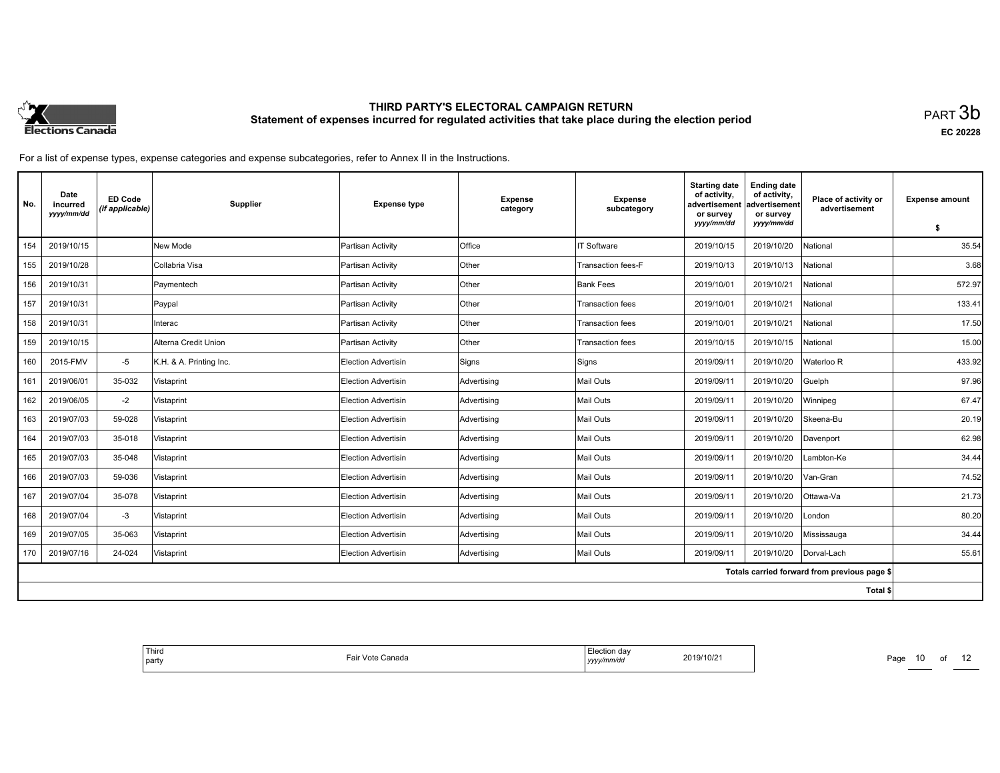

**EC 20228**

| No.                                          | Date<br>incurred<br>yyyy/mm/dd | <b>ED Code</b><br>(if applicable) | <b>Supplier</b>         | <b>Expense type</b>        | <b>Expense</b><br>category | <b>Expense</b><br>subcategory | <b>Starting date</b><br>of activity.<br>advertisement<br>or survey | <b>Ending date</b><br>of activity,<br>advertisement<br>or survey | Place of activity or<br>advertisement | <b>Expense amount</b> |
|----------------------------------------------|--------------------------------|-----------------------------------|-------------------------|----------------------------|----------------------------|-------------------------------|--------------------------------------------------------------------|------------------------------------------------------------------|---------------------------------------|-----------------------|
|                                              |                                |                                   |                         |                            |                            |                               | yyyy/mm/dd                                                         | yyyy/mm/dd                                                       |                                       | \$                    |
| 154                                          | 2019/10/15                     |                                   | New Mode                | Partisan Activity          | <b>Office</b>              | <b>IT Software</b>            | 2019/10/15                                                         | 2019/10/20                                                       | National                              | 35.54                 |
| 155                                          | 2019/10/28                     |                                   | Collabria Visa          | Partisan Activity          | Other                      | Transaction fees-F            | 2019/10/13                                                         | 2019/10/13                                                       | National                              | 3.68                  |
| 156                                          | 2019/10/31                     |                                   | Paymentech              | Partisan Activity          | Other                      | <b>Bank Fees</b>              | 2019/10/01                                                         | 2019/10/21                                                       | National                              | 572.97                |
| 157                                          | 2019/10/31                     |                                   | Paypal                  | Partisan Activity          | Other                      | <b>Transaction fees</b>       | 2019/10/01                                                         | 2019/10/21                                                       | National                              | 133.41                |
| 158                                          | 2019/10/31                     |                                   | Interac                 | Partisan Activity          | Other                      | <b>Transaction fees</b>       | 2019/10/01                                                         | 2019/10/21                                                       | National                              | 17.50                 |
| 159                                          | 2019/10/15                     |                                   | Alterna Credit Union    | Partisan Activity          | Other                      | <b>Transaction fees</b>       | 2019/10/15                                                         | 2019/10/15                                                       | National                              | 15.00                 |
| 160                                          | 2015-FMV                       | $-5$                              | K.H. & A. Printing Inc. | Election Advertisin        | Signs                      | Signs                         | 2019/09/11                                                         | 2019/10/20                                                       | Waterloo R                            | 433.92                |
| 161                                          | 2019/06/01                     | 35-032                            | Vistaprint              | Election Advertisin        | Advertising                | Mail Outs                     | 2019/09/11                                                         | 2019/10/20                                                       | Guelph                                | 97.96                 |
| 162                                          | 2019/06/05                     | $-2$                              | Vistaprint              | <b>Election Advertisin</b> | Advertising                | Mail Outs                     | 2019/09/11                                                         | 2019/10/20                                                       | Winnipeg                              | 67.47                 |
| 163                                          | 2019/07/03                     | 59-028                            | Vistaprint              | <b>Election Advertisin</b> | Advertising                | <b>Mail Outs</b>              | 2019/09/11                                                         | 2019/10/20                                                       | Skeena-Bu                             | 20.19                 |
| 164                                          | 2019/07/03                     | 35-018                            | Vistaprint              | Election Advertisin        | Advertising                | <b>Mail Outs</b>              | 2019/09/11                                                         | 2019/10/20                                                       | Davenport                             | 62.98                 |
| 165                                          | 2019/07/03                     | 35-048                            | Vistaprint              | Election Advertisin        | Advertising                | Mail Outs                     | 2019/09/11                                                         | 2019/10/20                                                       | Lambton-Ke                            | 34.44                 |
| 166                                          | 2019/07/03                     | 59-036                            | Vistaprint              | Election Advertisin        | Advertising                | Mail Outs                     | 2019/09/11                                                         | 2019/10/20                                                       | Van-Gran                              | 74.52                 |
| 167                                          | 2019/07/04                     | 35-078                            | Vistaprint              | Election Advertisin        | Advertising                | <b>Mail Outs</b>              | 2019/09/11                                                         | 2019/10/20                                                       | Ottawa-Va                             | 21.73                 |
| 168                                          | 2019/07/04                     | $-3$                              | Vistaprint              | Election Advertisin        | Advertising                | <b>Mail Outs</b>              | 2019/09/11                                                         | 2019/10/20                                                       | London                                | 80.20                 |
| 169                                          | 2019/07/05                     | 35-063                            | Vistaprint              | <b>Election Advertisin</b> | Advertising                | <b>Mail Outs</b>              | 2019/09/11                                                         | 2019/10/20                                                       | Mississauga                           | 34.44                 |
| 170                                          | 2019/07/16                     | 24-024                            | Vistaprint              | Election Advertisin        | Advertising                | Mail Outs                     | 2019/09/11                                                         | 2019/10/20                                                       | Dorval-Lach                           | 55.61                 |
| Totals carried forward from previous page \$ |                                |                                   |                         |                            |                            |                               |                                                                    |                                                                  |                                       |                       |
|                                              |                                |                                   |                         |                            |                            |                               |                                                                    |                                                                  | Total \$                              |                       |

| .ection<br>.ction dav<br>2019/10/21<br>Canada<br>— nir<br>Vote<br>.<br>ы<br>/v/mm/d<br>,,,, | Third<br>  party |  |
|---------------------------------------------------------------------------------------------|------------------|--|
|---------------------------------------------------------------------------------------------|------------------|--|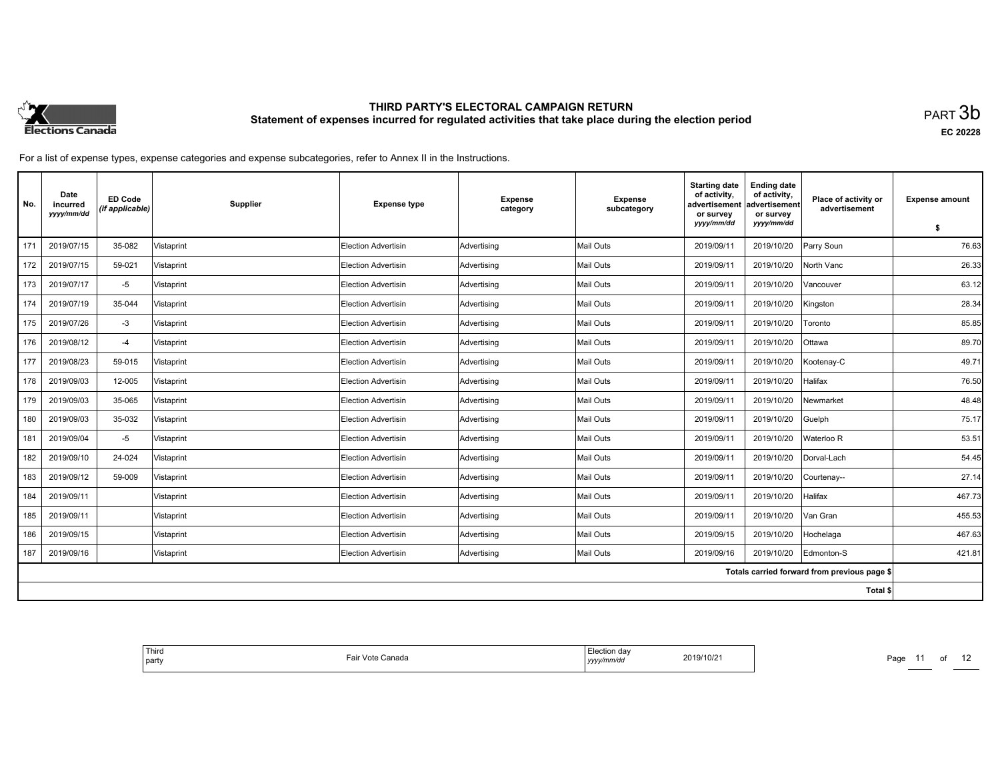

**EC 20228**

For a list of expense types, expense categories and expense subcategories, refer to Annex II in the Instructions.

| No. | Date<br>incurred<br>yyyy/mm/dd | <b>ED Code</b><br>(if applicable) | Supplier   | <b>Expense type</b>        | <b>Expense</b><br>category | <b>Expense</b><br>subcategory | <b>Starting date</b><br>of activity.<br>advertisement<br>or survey | <b>Ending date</b><br>of activity,<br>advertisement<br>or survey | Place of activity or<br>advertisement        | <b>Expense amount</b> |
|-----|--------------------------------|-----------------------------------|------------|----------------------------|----------------------------|-------------------------------|--------------------------------------------------------------------|------------------------------------------------------------------|----------------------------------------------|-----------------------|
|     |                                |                                   |            |                            |                            |                               | yyyy/mm/dd                                                         | yyyy/mm/dd                                                       |                                              | \$                    |
| 171 | 2019/07/15                     | 35-082                            | Vistaprint | Election Advertisin        | Advertising                | Mail Outs                     | 2019/09/11                                                         | 2019/10/20                                                       | Parry Soun                                   | 76.63                 |
| 172 | 2019/07/15                     | 59-021                            | Vistaprint | <b>Election Advertisin</b> | Advertising                | Mail Outs                     | 2019/09/11                                                         | 2019/10/20                                                       | North Vanc                                   | 26.33                 |
| 173 | 2019/07/17                     | $-5$                              | Vistaprint | <b>Election Advertisin</b> | Advertising                | Mail Outs                     | 2019/09/11                                                         | 2019/10/20                                                       | Vancouver                                    | 63.12                 |
| 174 | 2019/07/19                     | 35-044                            | Vistaprint | <b>Election Advertisin</b> | Advertising                | Mail Outs                     | 2019/09/11                                                         | 2019/10/20                                                       | Kingston                                     | 28.34                 |
| 175 | 2019/07/26                     | $-3$                              | Vistaprint | <b>Election Advertisin</b> | Advertising                | Mail Outs                     | 2019/09/11                                                         | 2019/10/20                                                       | Toronto                                      | 85.85                 |
| 176 | 2019/08/12                     | $-4$                              | Vistaprint | <b>Election Advertisin</b> | Advertising                | Mail Outs                     | 2019/09/11                                                         | 2019/10/20                                                       | Ottawa                                       | 89.70                 |
| 177 | 2019/08/23                     | 59-015                            | Vistaprint | <b>Election Advertisin</b> | Advertising                | Mail Outs                     | 2019/09/11                                                         | 2019/10/20                                                       | Kootenay-C                                   | 49.71                 |
| 178 | 2019/09/03                     | 12-005                            | Vistaprint | <b>Election Advertisin</b> | Advertising                | Mail Outs                     | 2019/09/11                                                         | 2019/10/20                                                       | Halifax                                      | 76.50                 |
| 179 | 2019/09/03                     | 35-065                            | Vistaprint | <b>Election Advertisin</b> | Advertising                | Mail Outs                     | 2019/09/11                                                         | 2019/10/20                                                       | Newmarket                                    | 48.48                 |
| 180 | 2019/09/03                     | 35-032                            | Vistaprint | <b>Election Advertisin</b> | Advertising                | Mail Outs                     | 2019/09/11                                                         | 2019/10/20                                                       | Guelph                                       | 75.17                 |
| 181 | 2019/09/04                     | $-5$                              | Vistaprint | <b>Election Advertisin</b> | Advertising                | Mail Outs                     | 2019/09/11                                                         | 2019/10/20                                                       | Waterloo R                                   | 53.51                 |
| 182 | 2019/09/10                     | 24-024                            | Vistaprint | <b>Election Advertisin</b> | Advertising                | Mail Outs                     | 2019/09/11                                                         | 2019/10/20                                                       | Dorval-Lach                                  | 54.45                 |
| 183 | 2019/09/12                     | 59-009                            | Vistaprint | <b>Election Advertisin</b> | Advertising                | Mail Outs                     | 2019/09/11                                                         | 2019/10/20                                                       | Courtenay--                                  | 27.14                 |
| 184 | 2019/09/11                     |                                   | Vistaprint | <b>Election Advertisin</b> | Advertising                | Mail Outs                     | 2019/09/11                                                         | 2019/10/20                                                       | Halifax                                      | 467.73                |
| 185 | 2019/09/11                     |                                   | Vistaprint | <b>Election Advertisin</b> | Advertising                | Mail Outs                     | 2019/09/11                                                         | 2019/10/20                                                       | Van Gran                                     | 455.53                |
| 186 | 2019/09/15                     |                                   | Vistaprint | <b>Election Advertisin</b> | Advertising                | Mail Outs                     | 2019/09/15                                                         | 2019/10/20                                                       | Hochelaga                                    | 467.63                |
| 187 | 2019/09/16                     |                                   | Vistaprint | <b>Election Advertisin</b> | Advertising                | Mail Outs                     | 2019/09/16                                                         | 2019/10/20                                                       | Edmonton-S                                   | 421.81                |
|     |                                |                                   |            |                            |                            |                               |                                                                    |                                                                  | Totals carried forward from previous page \$ |                       |
|     |                                |                                   |            |                            |                            |                               |                                                                    |                                                                  | Total \$                                     |                       |

| Third<br>Election dav<br>2019/10/21<br>∩anada<br>  party<br>yyyy/mm/dd |
|------------------------------------------------------------------------|
|------------------------------------------------------------------------|

Page 11 of 12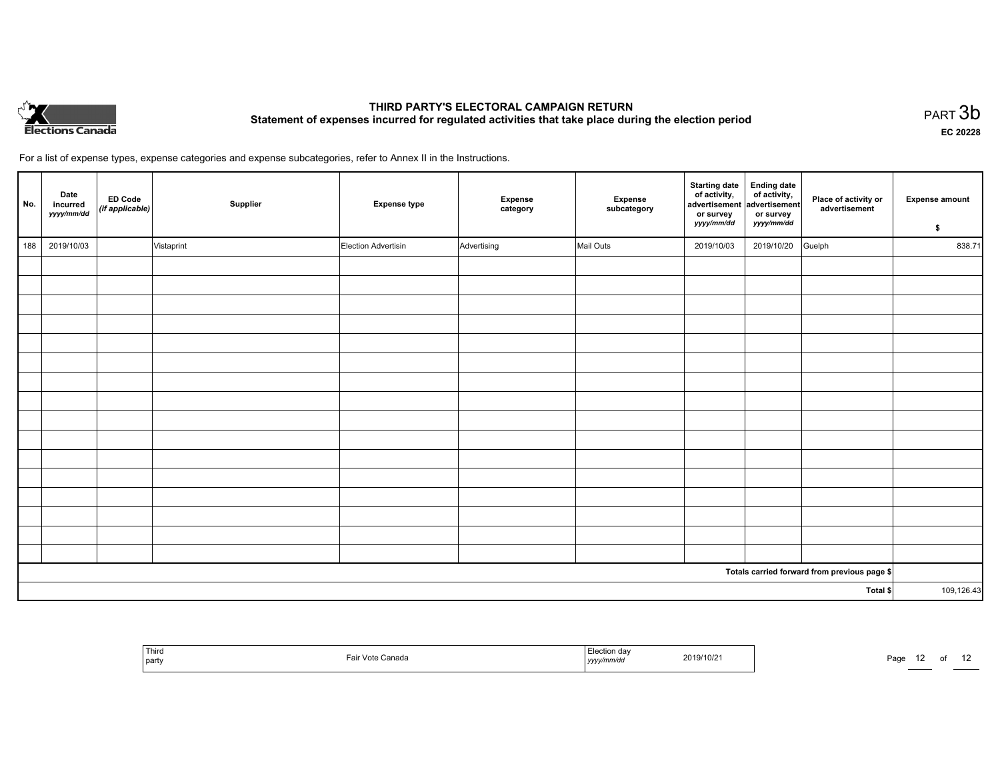

**EC 20228**

of 12

| No.      | Date<br>incurred<br>yyyy/mm/dd | ED Code<br>(if applicable) | Supplier   | <b>Expense type</b> | Expense<br>category | Expense<br>subcategory | Starting date Ending date<br>of activity, of activity,<br>advertisement advertisement<br>or survey<br>yyyy/mm/dd | or survey<br>yyyy/mm/dd | Place of activity or<br>advertisement        | <b>Expense amount</b><br>\$ |
|----------|--------------------------------|----------------------------|------------|---------------------|---------------------|------------------------|------------------------------------------------------------------------------------------------------------------|-------------------------|----------------------------------------------|-----------------------------|
| 188      | 2019/10/03                     |                            | Vistaprint | Election Advertisin | Advertising         | Mail Outs              | 2019/10/03                                                                                                       | 2019/10/20              | Guelph                                       | 838.71                      |
|          |                                |                            |            |                     |                     |                        |                                                                                                                  |                         |                                              |                             |
|          |                                |                            |            |                     |                     |                        |                                                                                                                  |                         |                                              |                             |
|          |                                |                            |            |                     |                     |                        |                                                                                                                  |                         |                                              |                             |
|          |                                |                            |            |                     |                     |                        |                                                                                                                  |                         |                                              |                             |
|          |                                |                            |            |                     |                     |                        |                                                                                                                  |                         |                                              |                             |
|          |                                |                            |            |                     |                     |                        |                                                                                                                  |                         |                                              |                             |
|          |                                |                            |            |                     |                     |                        |                                                                                                                  |                         |                                              |                             |
|          |                                |                            |            |                     |                     |                        |                                                                                                                  |                         |                                              |                             |
|          |                                |                            |            |                     |                     |                        |                                                                                                                  |                         |                                              |                             |
|          |                                |                            |            |                     |                     |                        |                                                                                                                  |                         |                                              |                             |
|          |                                |                            |            |                     |                     |                        |                                                                                                                  |                         |                                              |                             |
|          |                                |                            |            |                     |                     |                        |                                                                                                                  |                         |                                              |                             |
|          |                                |                            |            |                     |                     |                        |                                                                                                                  |                         |                                              |                             |
|          |                                |                            |            |                     |                     |                        |                                                                                                                  |                         |                                              |                             |
|          |                                |                            |            |                     |                     |                        |                                                                                                                  |                         |                                              |                             |
|          |                                |                            |            |                     |                     |                        |                                                                                                                  |                         |                                              |                             |
|          |                                |                            |            |                     |                     |                        |                                                                                                                  |                         | Totals carried forward from previous page \$ |                             |
| Total \$ |                                |                            |            |                     |                     | 109,126.43             |                                                                                                                  |                         |                                              |                             |

| Third<br>  party | ு Vote Canada | ⊡ection da∿<br>vyy/mm/da<br>I УУУ. | 2019/10/21 | Page<br><u> The Communication of the Communication of the Communication of the Communication of the Communication of the Communication of the Communication of the Communication of the Communication of the Communication of the Commun</u> |
|------------------|---------------|------------------------------------|------------|----------------------------------------------------------------------------------------------------------------------------------------------------------------------------------------------------------------------------------------------|
|------------------|---------------|------------------------------------|------------|----------------------------------------------------------------------------------------------------------------------------------------------------------------------------------------------------------------------------------------------|